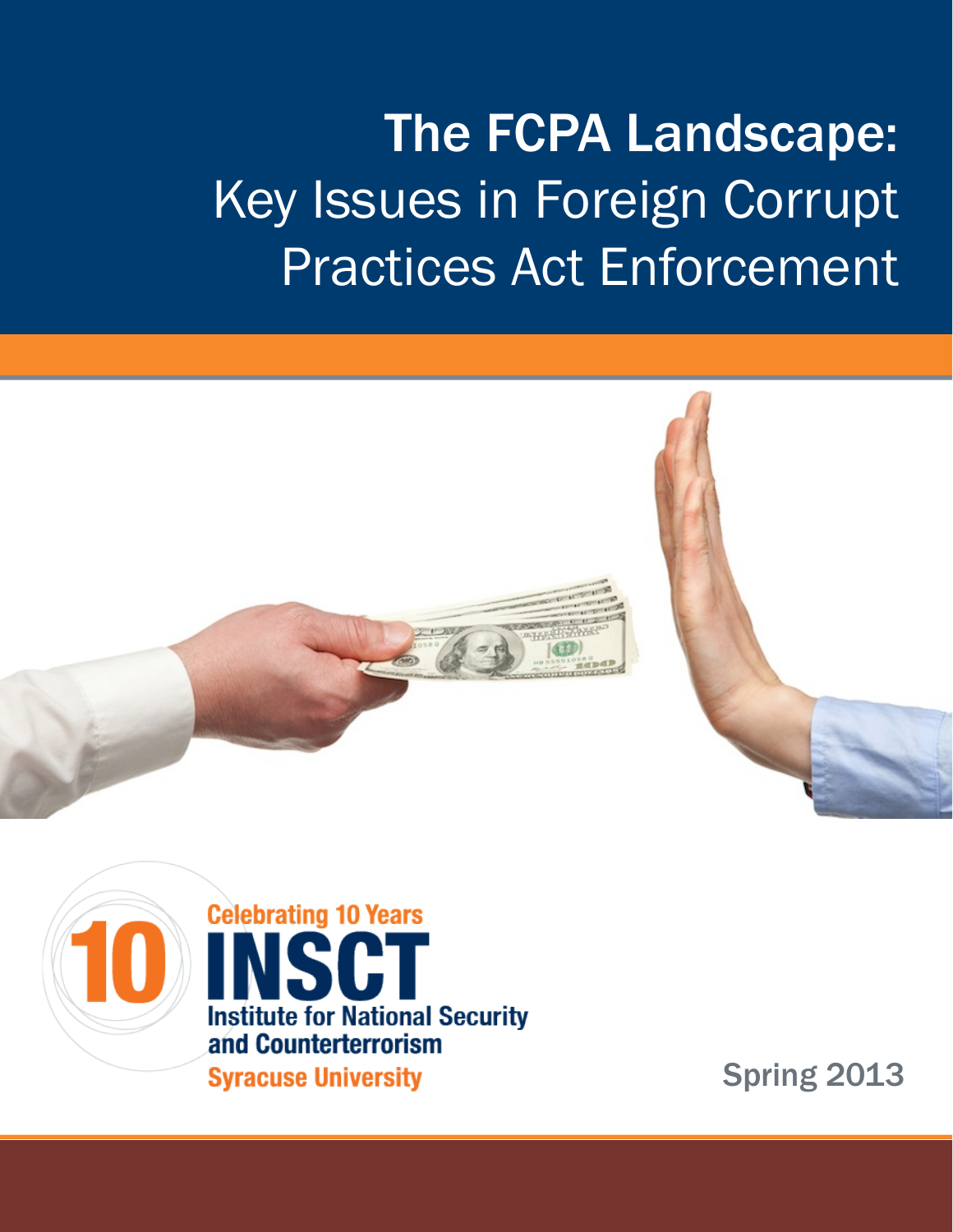# The FCPA Landscape: Key Issues in Foreign Corrupt Practices Act Enforcement





**Celebrating 10 Years** H **Institute for National Security** and Counterterrorism **Syracuse University** 

Spring 2013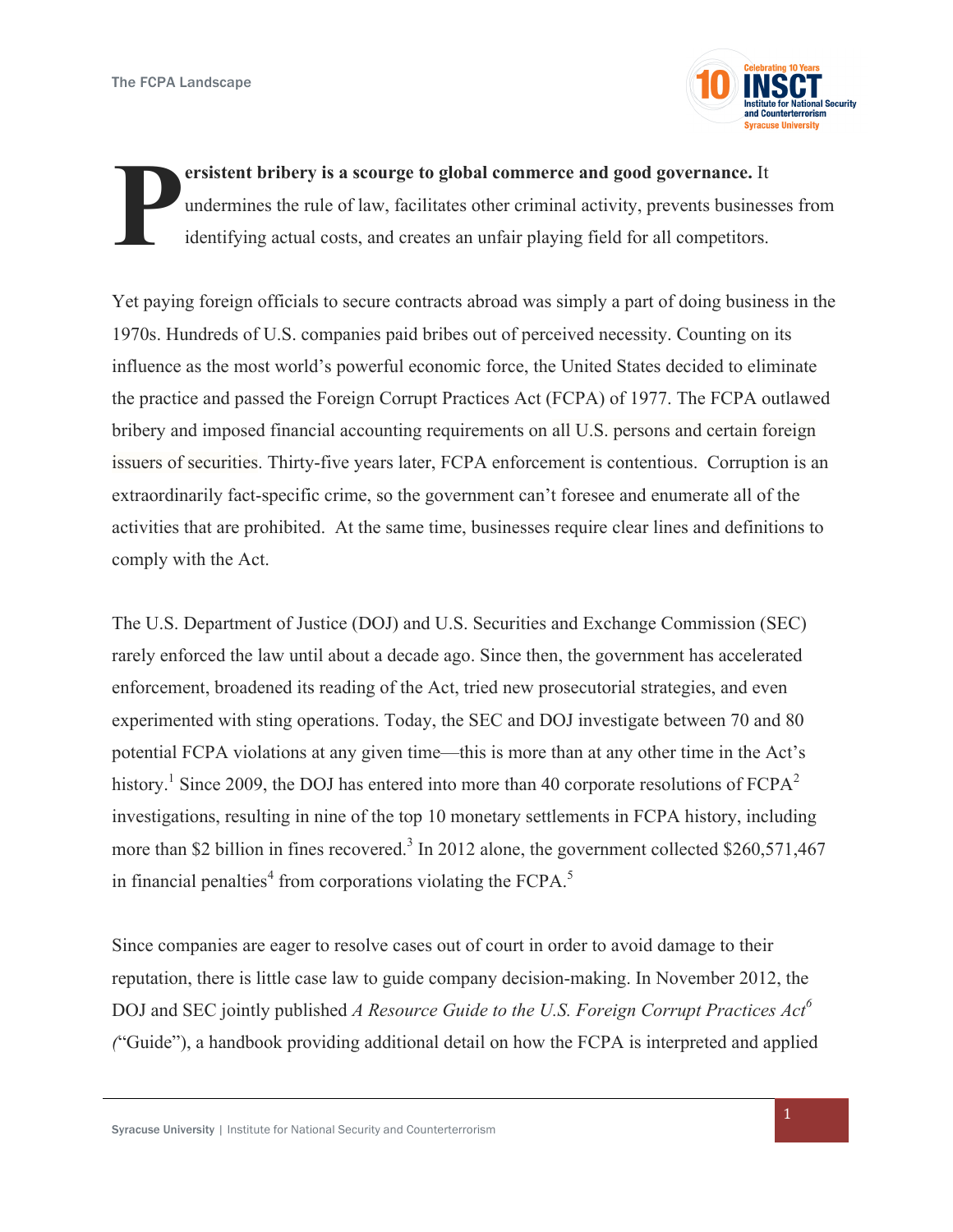

**ersistent bribery is a scourge to global commerce and good governance.** It undermines the rule of law, facilitates other criminal activity, prevents businesses from identifying actual costs, and creates an unfair playing field for all competitors. **P**

Yet paying foreign officials to secure contracts abroad was simply a part of doing business in the 1970s. Hundreds of U.S. companies paid bribes out of perceived necessity. Counting on its influence as the most world's powerful economic force, the United States decided to eliminate the practice and passed the Foreign Corrupt Practices Act (FCPA) of 1977. The FCPA outlawed bribery and imposed financial accounting requirements on all U.S. persons and certain foreign issuers of securities. Thirty-five years later, FCPA enforcement is contentious. Corruption is an extraordinarily fact-specific crime, so the government can't foresee and enumerate all of the activities that are prohibited. At the same time, businesses require clear lines and definitions to comply with the Act.

The U.S. Department of Justice (DOJ) and U.S. Securities and Exchange Commission (SEC) rarely enforced the law until about a decade ago. Since then, the government has accelerated enforcement, broadened its reading of the Act, tried new prosecutorial strategies, and even experimented with sting operations. Today, the SEC and DOJ investigate between 70 and 80 potential FCPA violations at any given time—this is more than at any other time in the Act's history.<sup>1</sup> Since 2009, the DOJ has entered into more than 40 corporate resolutions of  $FCPA<sup>2</sup>$ investigations, resulting in nine of the top 10 monetary settlements in FCPA history, including more than \$2 billion in fines recovered.<sup>3</sup> In 2012 alone, the government collected \$260,571,467 in financial penalties<sup>4</sup> from corporations violating the FCPA.<sup>5</sup>

Since companies are eager to resolve cases out of court in order to avoid damage to their reputation, there is little case law to guide company decision-making. In November 2012, the DOJ and SEC jointly published *A Resource Guide to the U.S. Foreign Corrupt Practices Act*<sup>6</sup> *(*"Guide"), a handbook providing additional detail on how the FCPA is interpreted and applied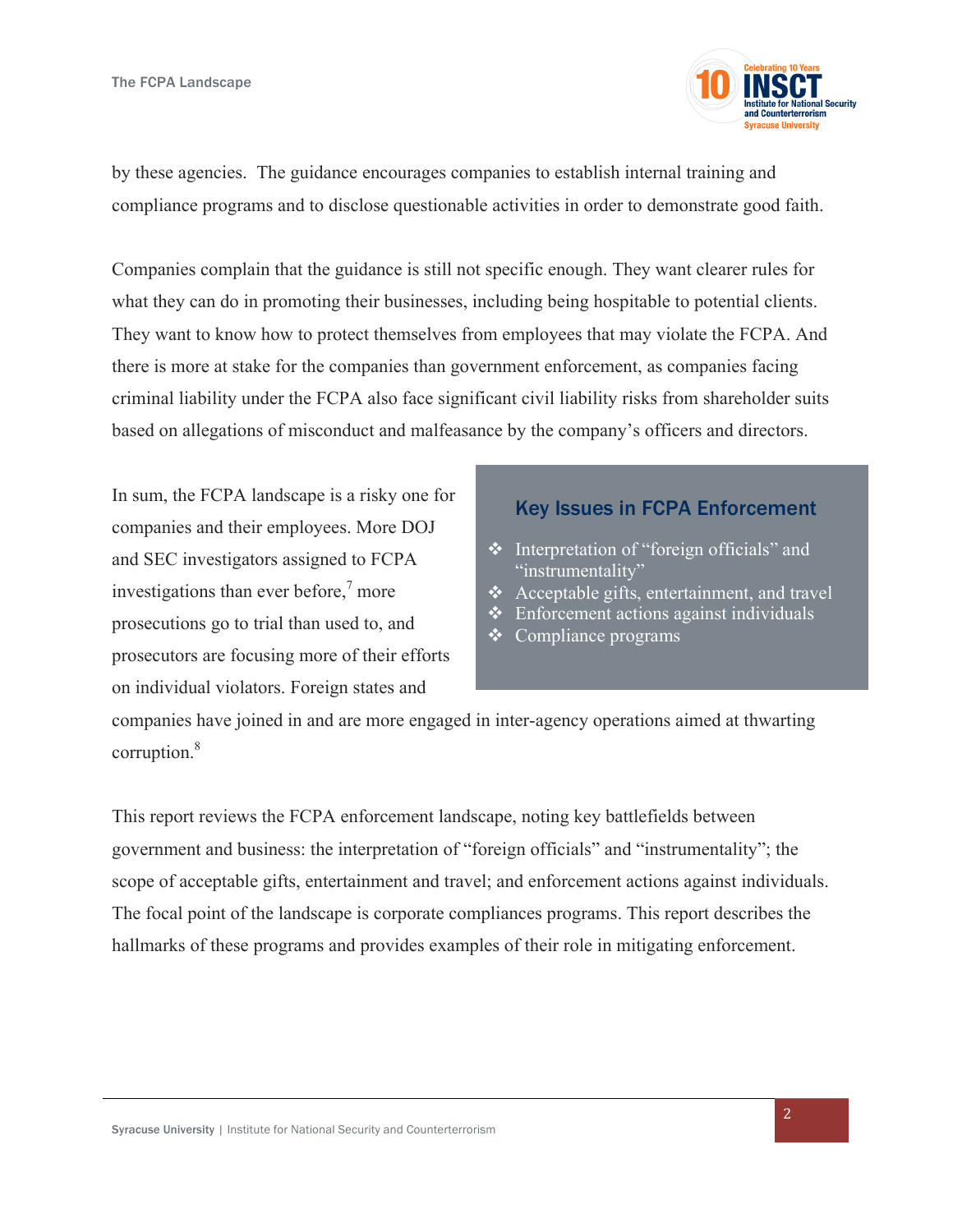

by these agencies. The guidance encourages companies to establish internal training and compliance programs and to disclose questionable activities in order to demonstrate good faith.

Companies complain that the guidance is still not specific enough. They want clearer rules for what they can do in promoting their businesses, including being hospitable to potential clients. They want to know how to protect themselves from employees that may violate the FCPA. And there is more at stake for the companies than government enforcement, as companies facing criminal liability under the FCPA also face significant civil liability risks from shareholder suits based on allegations of misconduct and malfeasance by the company's officers and directors.

In sum, the FCPA landscape is a risky one for companies and their employees. More DOJ and SEC investigators assigned to FCPA investigations than ever before, <sup>7</sup> more prosecutions go to trial than used to, and prosecutors are focusing more of their efforts on individual violators. Foreign states and

#### Key Issues in FCPA Enforcement

- **\*** Interpretation of "foreign officials" and "instrumentality"
- $\triangleleft$  Acceptable gifts, entertainment, and travel
- $\triangleleft$  Enforcement actions against individuals
- $\triangleleft$  Compliance programs

companies have joined in and are more engaged in inter-agency operations aimed at thwarting corruption.<sup>8</sup>

This report reviews the FCPA enforcement landscape, noting key battlefields between government and business: the interpretation of "foreign officials" and "instrumentality"; the scope of acceptable gifts, entertainment and travel; and enforcement actions against individuals. The focal point of the landscape is corporate compliances programs. This report describes the hallmarks of these programs and provides examples of their role in mitigating enforcement.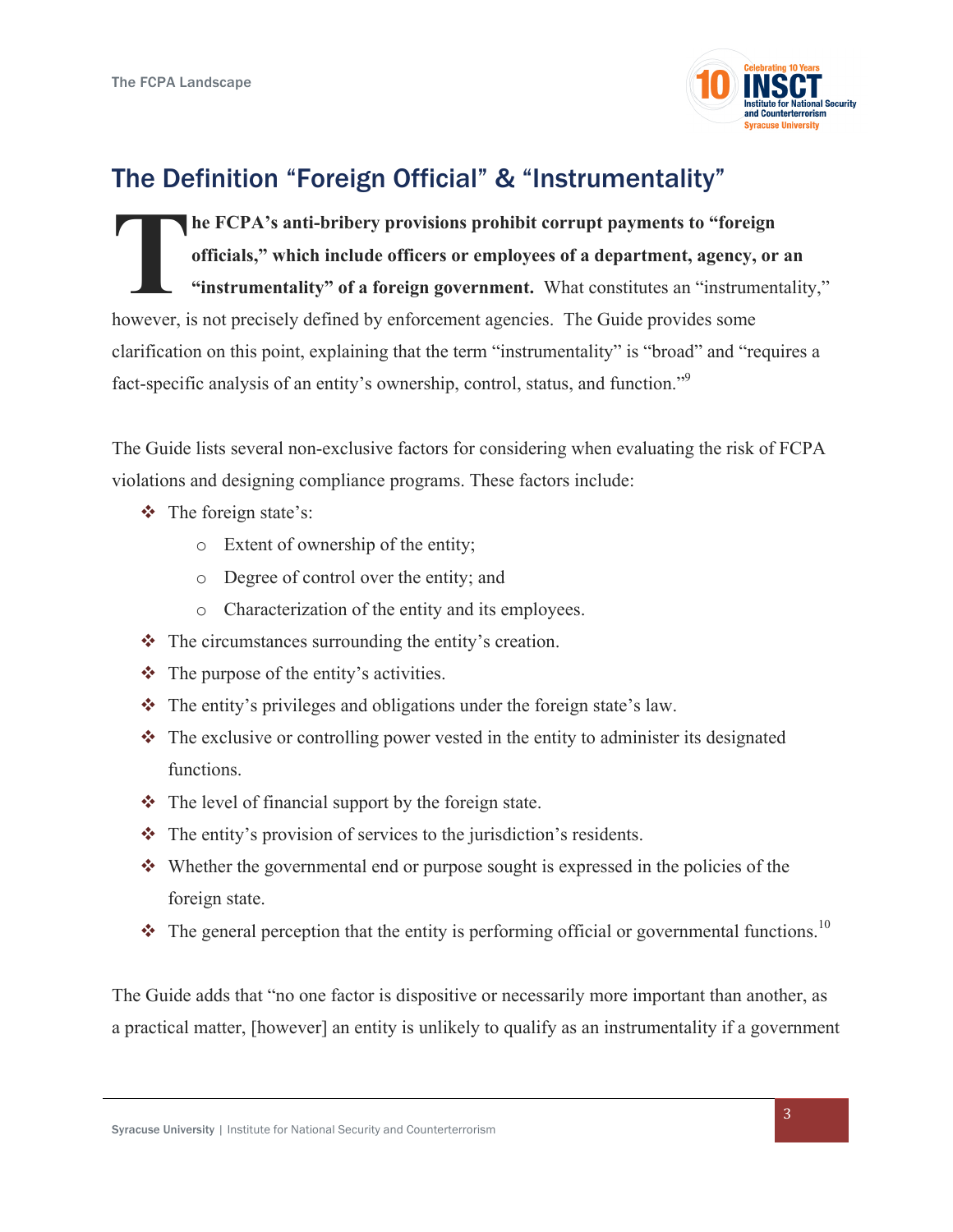

# The Definition "Foreign Official" & "Instrumentality"

**he FCPA's anti-bribery provisions prohibit corrupt payments to "foreign officials," which include officers or employees of a department, agency, or an "instrumentality" of a foreign government.** What constitutes an "instrumentality," however, is not precisely defined by enforcement agencies. The Guide provides some clarification on this point, explaining that the term "instrumentality" is "broad" and "requires a fact-specific analysis of an entity's ownership, control, status, and function."<sup>9</sup> **T**

The Guide lists several non-exclusive factors for considering when evaluating the risk of FCPA violations and designing compliance programs. These factors include:

- $\div$  The foreign state's:
	- o Extent of ownership of the entity;
	- o Degree of control over the entity; and
	- o Characterization of the entity and its employees.
- $\cdot \cdot$  The circumstances surrounding the entity's creation.
- $\triangleleft$  The purpose of the entity's activities.
- $\triangle$  The entity's privileges and obligations under the foreign state's law.
- $\triangle$  The exclusive or controlling power vested in the entity to administer its designated functions.
- $\cdot \cdot$  The level of financial support by the foreign state.
- $\triangle$  The entity's provision of services to the jurisdiction's residents.
- $\bullet$  Whether the governmental end or purpose sought is expressed in the policies of the foreign state.
- $\cdot \cdot$  The general perception that the entity is performing official or governmental functions.<sup>10</sup>

The Guide adds that "no one factor is dispositive or necessarily more important than another, as a practical matter, [however] an entity is unlikely to qualify as an instrumentality if a government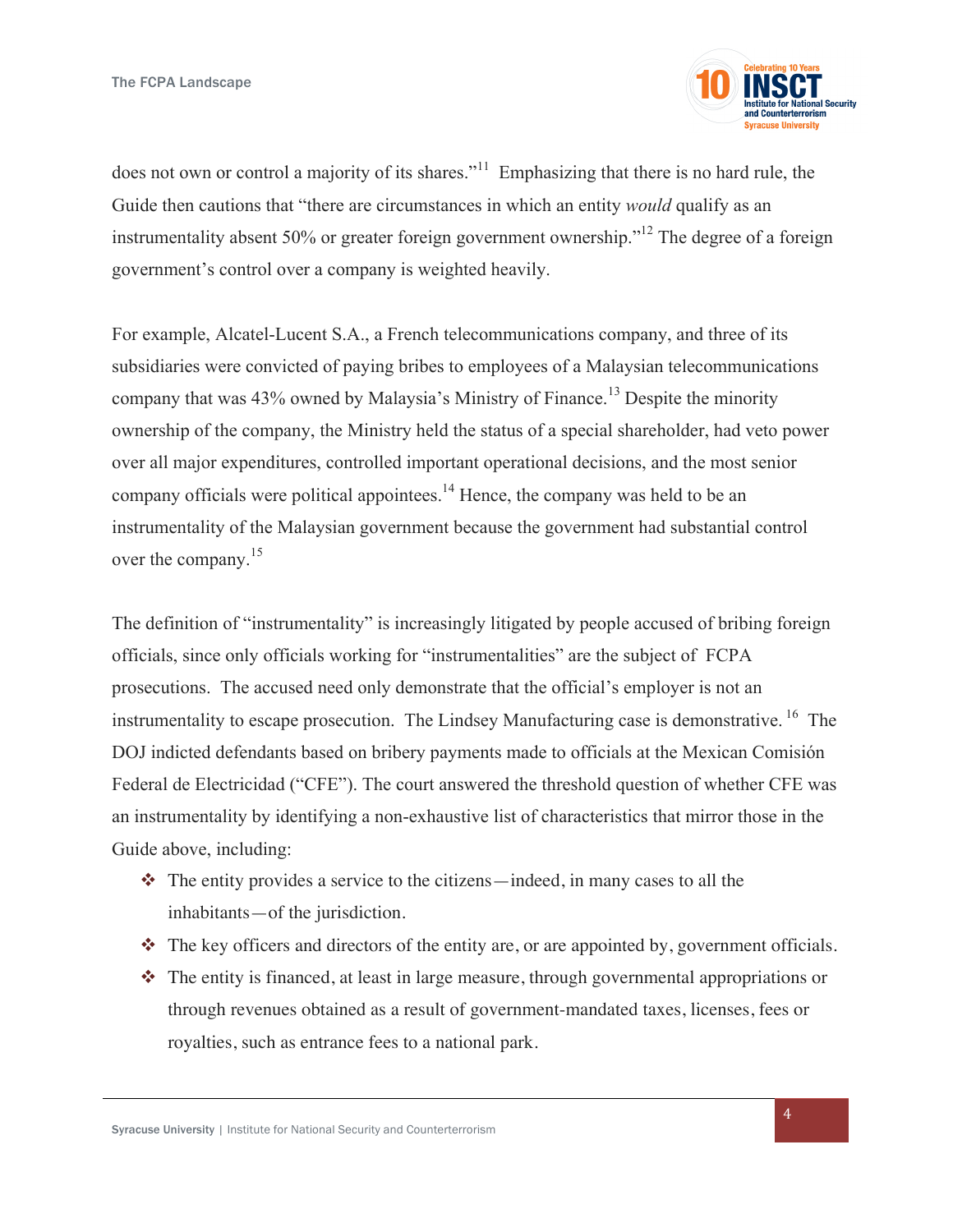

does not own or control a majority of its shares.<sup>"11</sup> Emphasizing that there is no hard rule, the Guide then cautions that "there are circumstances in which an entity *would* qualify as an instrumentality absent 50% or greater foreign government ownership."12 The degree of a foreign government's control over a company is weighted heavily.

For example, Alcatel-Lucent S.A., a French telecommunications company, and three of its subsidiaries were convicted of paying bribes to employees of a Malaysian telecommunications company that was 43% owned by Malaysia's Ministry of Finance.<sup>13</sup> Despite the minority ownership of the company, the Ministry held the status of a special shareholder, had veto power over all major expenditures, controlled important operational decisions, and the most senior company officials were political appointees.<sup>14</sup> Hence, the company was held to be an instrumentality of the Malaysian government because the government had substantial control over the company.<sup>15</sup>

The definition of "instrumentality" is increasingly litigated by people accused of bribing foreign officials, since only officials working for "instrumentalities" are the subject of FCPA prosecutions. The accused need only demonstrate that the official's employer is not an instrumentality to escape prosecution. The Lindsey Manufacturing case is demonstrative.<sup>16</sup> The DOJ indicted defendants based on bribery payments made to officials at the Mexican Comisión Federal de Electricidad ("CFE"). The court answered the threshold question of whether CFE was an instrumentality by identifying a non-exhaustive list of characteristics that mirror those in the Guide above, including:

- $\cdot \cdot$  The entity provides a service to the citizens—indeed, in many cases to all the inhabitants—of the jurisdiction.
- $\cdot \cdot$  The key officers and directors of the entity are, or are appointed by, government officials.
- $\cdot \cdot$  The entity is financed, at least in large measure, through governmental appropriations or through revenues obtained as a result of government-mandated taxes, licenses, fees or royalties, such as entrance fees to a national park.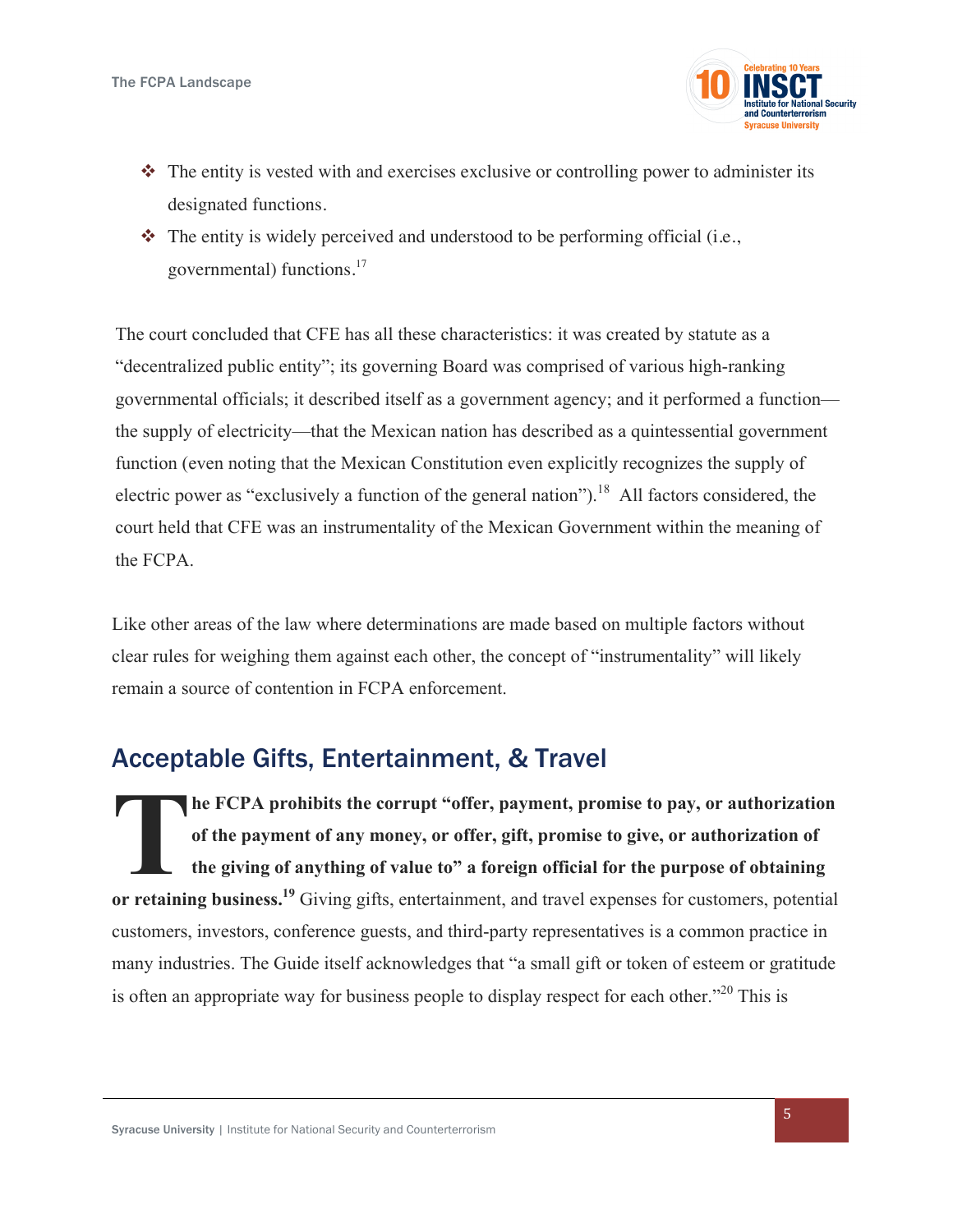

- $\cdot \cdot$  The entity is vested with and exercises exclusive or controlling power to administer its designated functions.
- $\bullet$  The entity is widely perceived and understood to be performing official (i.e., governmental) functions.<sup>17</sup>

The court concluded that CFE has all these characteristics: it was created by statute as a "decentralized public entity"; its governing Board was comprised of various high-ranking governmental officials; it described itself as a government agency; and it performed a function the supply of electricity—that the Mexican nation has described as a quintessential government function (even noting that the Mexican Constitution even explicitly recognizes the supply of electric power as "exclusively a function of the general nation").<sup>18</sup> All factors considered, the court held that CFE was an instrumentality of the Mexican Government within the meaning of the FCPA.

Like other areas of the law where determinations are made based on multiple factors without clear rules for weighing them against each other, the concept of "instrumentality" will likely remain a source of contention in FCPA enforcement.

## Acceptable Gifts, Entertainment, & Travel

**he FCPA prohibits the corrupt "offer, payment, promise to pay, or authorization of the payment of any money, or offer, gift, promise to give, or authorization of the giving of anything of value to" a foreign official for the purpose of obtaining or retaining business.19** Giving gifts, entertainment, and travel expenses for customers, potential customers, investors, conference guests, and third-party representatives is a common practice in many industries. The Guide itself acknowledges that "a small gift or token of esteem or gratitude is often an appropriate way for business people to display respect for each other."<sup>20</sup> This is **T**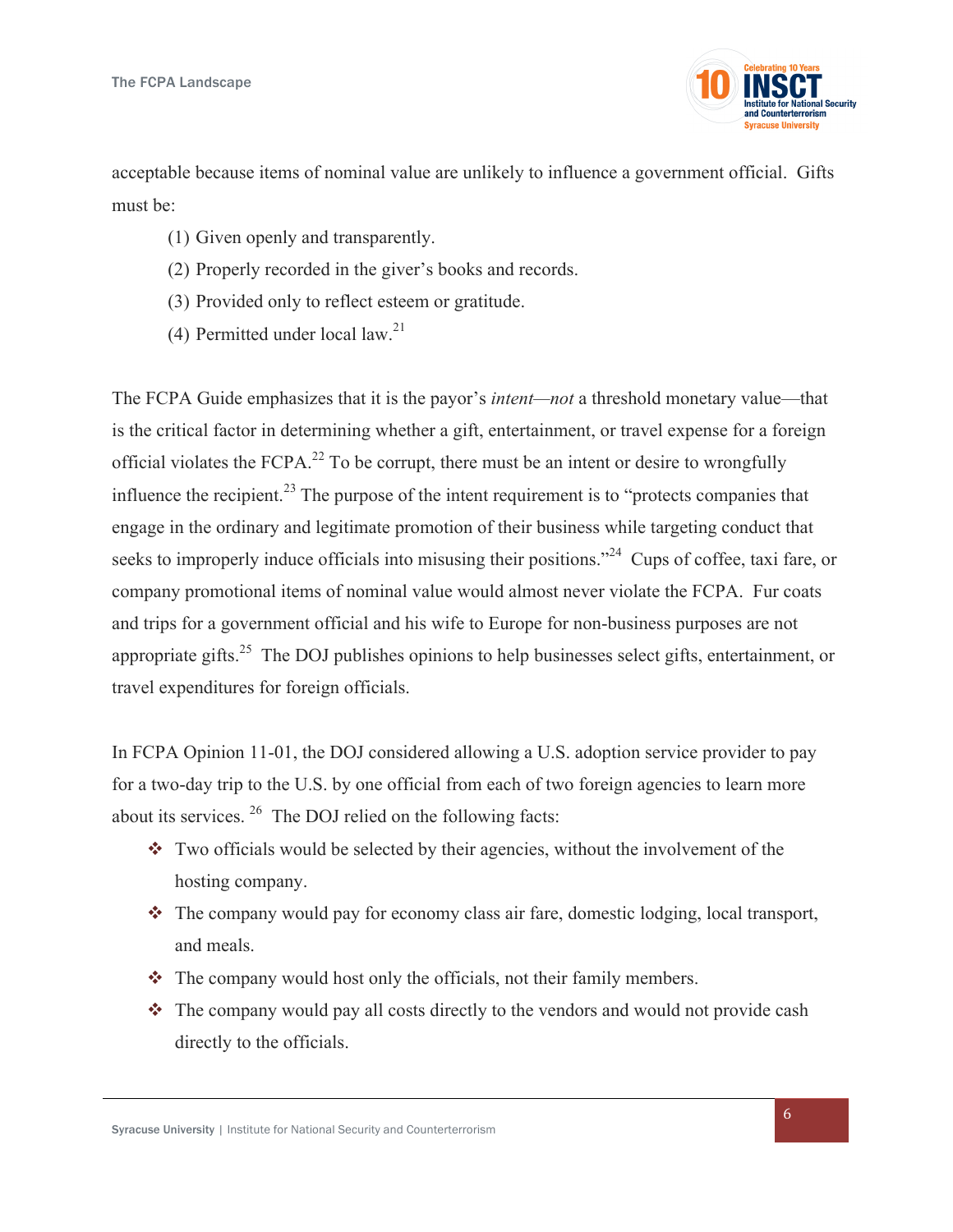

acceptable because items of nominal value are unlikely to influence a government official. Gifts must be:

- (1) Given openly and transparently.
- (2) Properly recorded in the giver's books and records.
- (3) Provided only to reflect esteem or gratitude.
- (4) Permitted under local law.<sup>21</sup>

The FCPA Guide emphasizes that it is the payor's *intent—not* a threshold monetary value—that is the critical factor in determining whether a gift, entertainment, or travel expense for a foreign official violates the  $FCPA<sup>22</sup>$  To be corrupt, there must be an intent or desire to wrongfully influence the recipient.<sup>23</sup> The purpose of the intent requirement is to "protects companies that engage in the ordinary and legitimate promotion of their business while targeting conduct that seeks to improperly induce officials into misusing their positions."<sup>24</sup> Cups of coffee, taxi fare, or company promotional items of nominal value would almost never violate the FCPA. Fur coats and trips for a government official and his wife to Europe for non-business purposes are not appropriate gifts.<sup>25</sup> The DOJ publishes opinions to help businesses select gifts, entertainment, or travel expenditures for foreign officials.

In FCPA Opinion 11-01, the DOJ considered allowing a U.S. adoption service provider to pay for a two-day trip to the U.S. by one official from each of two foreign agencies to learn more about its services. 26 The DOJ relied on the following facts:

- $\cdot$  Two officials would be selected by their agencies, without the involvement of the hosting company.
- $\cdot$  The company would pay for economy class air fare, domestic lodging, local transport, and meals.
- $\cdot \cdot$  The company would host only the officials, not their family members.
- $\cdot \cdot$  The company would pay all costs directly to the vendors and would not provide cash directly to the officials.

Syracuse University | Institute for National Security and Counterterrorism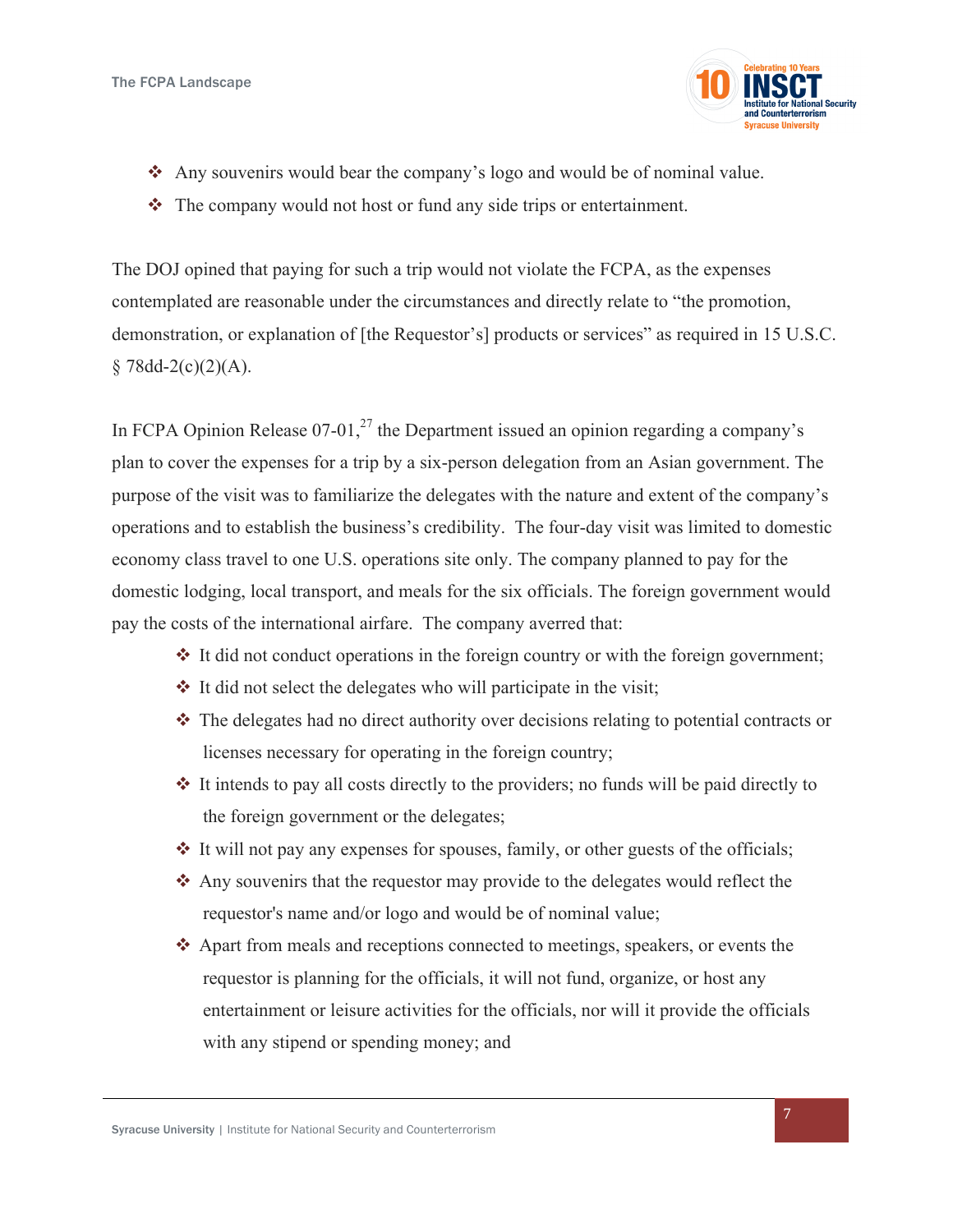

- Any souvenirs would bear the company's logo and would be of nominal value.
- $\cdot \cdot$  The company would not host or fund any side trips or entertainment.

The DOJ opined that paying for such a trip would not violate the FCPA, as the expenses contemplated are reasonable under the circumstances and directly relate to "the promotion, demonstration, or explanation of [the Requestor's] products or services" as required in 15 U.S.C.  $§ 78dd-2(c)(2)(A).$ 

In FCPA Opinion Release  $07-01$ ,<sup>27</sup> the Department issued an opinion regarding a company's plan to cover the expenses for a trip by a six-person delegation from an Asian government. The purpose of the visit was to familiarize the delegates with the nature and extent of the company's operations and to establish the business's credibility. The four-day visit was limited to domestic economy class travel to one U.S. operations site only. The company planned to pay for the domestic lodging, local transport, and meals for the six officials. The foreign government would pay the costs of the international airfare. The company averred that:

- $\cdot$  It did not conduct operations in the foreign country or with the foreign government;
- $\cdot$  It did not select the delegates who will participate in the visit;
- $\cdot$  The delegates had no direct authority over decisions relating to potential contracts or licenses necessary for operating in the foreign country;
- $\cdot$  It intends to pay all costs directly to the providers; no funds will be paid directly to the foreign government or the delegates;
- $\div$  It will not pay any expenses for spouses, family, or other guests of the officials;
- $\triangle$  Any souvenirs that the requestor may provide to the delegates would reflect the requestor's name and/or logo and would be of nominal value;
- v Apart from meals and receptions connected to meetings, speakers, or events the requestor is planning for the officials, it will not fund, organize, or host any entertainment or leisure activities for the officials, nor will it provide the officials with any stipend or spending money; and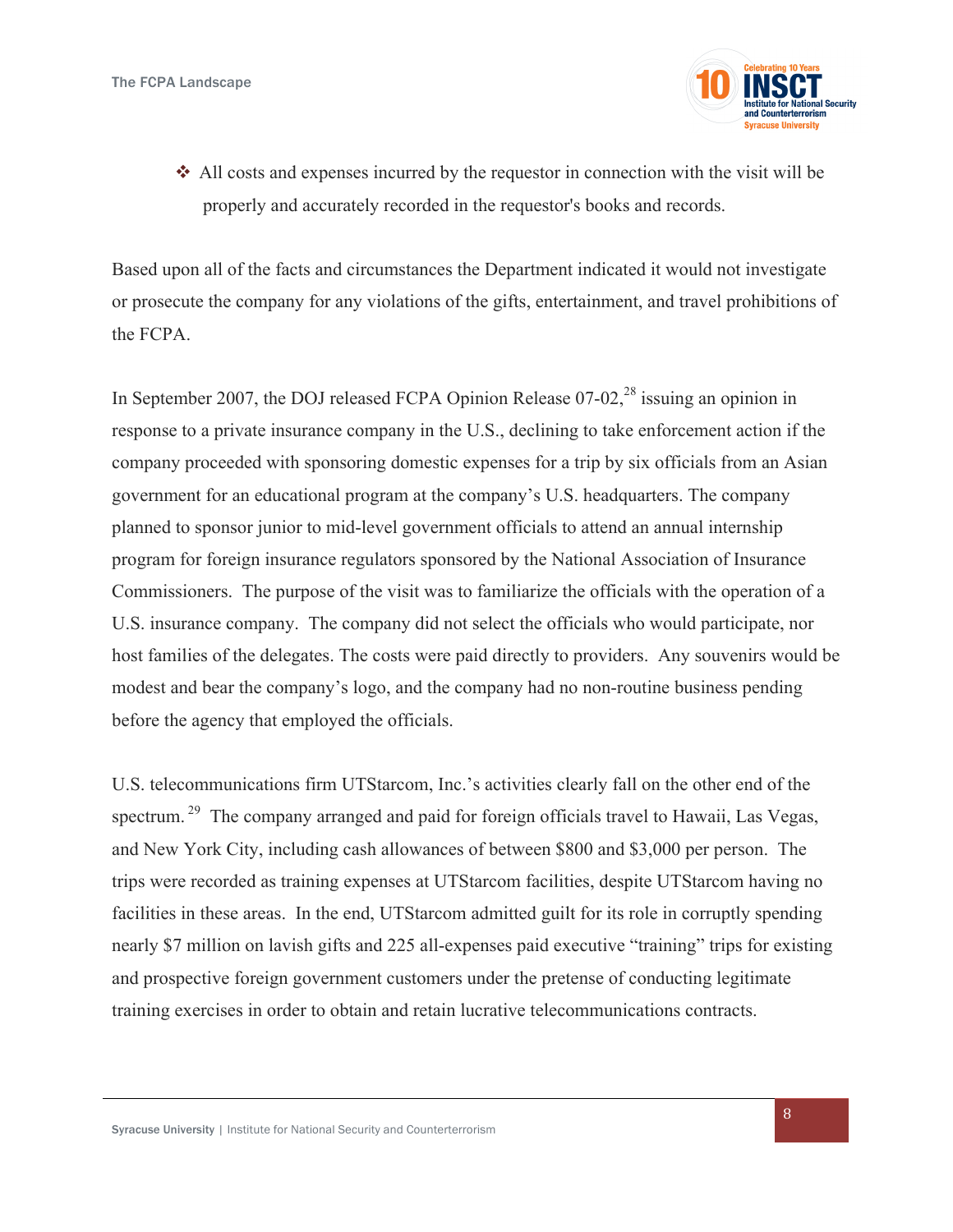

 $\triangle$  All costs and expenses incurred by the requestor in connection with the visit will be properly and accurately recorded in the requestor's books and records.

Based upon all of the facts and circumstances the Department indicated it would not investigate or prosecute the company for any violations of the gifts, entertainment, and travel prohibitions of the FCPA.

In September 2007, the DOJ released FCPA Opinion Release  $07-02$ ,<sup>28</sup> issuing an opinion in response to a private insurance company in the U.S., declining to take enforcement action if the company proceeded with sponsoring domestic expenses for a trip by six officials from an Asian government for an educational program at the company's U.S. headquarters. The company planned to sponsor junior to mid-level government officials to attend an annual internship program for foreign insurance regulators sponsored by the National Association of Insurance Commissioners. The purpose of the visit was to familiarize the officials with the operation of a U.S. insurance company. The company did not select the officials who would participate, nor host families of the delegates. The costs were paid directly to providers. Any souvenirs would be modest and bear the company's logo, and the company had no non-routine business pending before the agency that employed the officials.

U.S. telecommunications firm UTStarcom, Inc.'s activities clearly fall on the other end of the spectrum.<sup>29</sup> The company arranged and paid for foreign officials travel to Hawaii, Las Vegas, and New York City, including cash allowances of between \$800 and \$3,000 per person. The trips were recorded as training expenses at UTStarcom facilities, despite UTStarcom having no facilities in these areas. In the end, UTStarcom admitted guilt for its role in corruptly spending nearly \$7 million on lavish gifts and 225 all-expenses paid executive "training" trips for existing and prospective foreign government customers under the pretense of conducting legitimate training exercises in order to obtain and retain lucrative telecommunications contracts.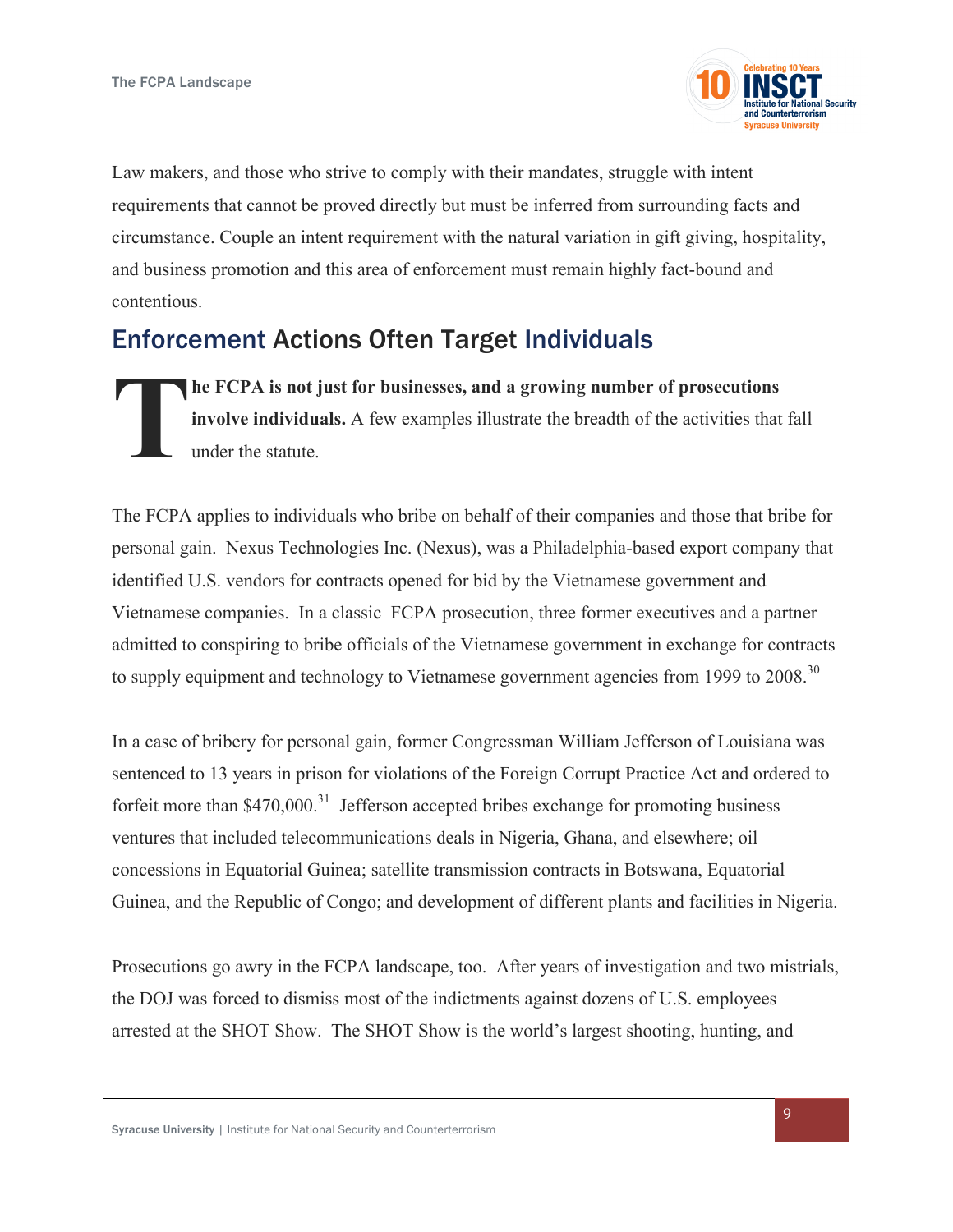

Law makers, and those who strive to comply with their mandates, struggle with intent requirements that cannot be proved directly but must be inferred from surrounding facts and circumstance. Couple an intent requirement with the natural variation in gift giving, hospitality, and business promotion and this area of enforcement must remain highly fact-bound and contentious.

# Enforcement Actions Often Target Individuals

**he FCPA is not just for businesses, and a growing number of prosecutions involve individuals.** A few examples illustrate the breadth of the activities that fall under the statute. **T**

The FCPA applies to individuals who bribe on behalf of their companies and those that bribe for personal gain. Nexus Technologies Inc. (Nexus), was a Philadelphia-based export company that identified U.S. vendors for contracts opened for bid by the Vietnamese government and Vietnamese companies. In a classic FCPA prosecution, three former executives and a partner admitted to conspiring to bribe officials of the Vietnamese government in exchange for contracts to supply equipment and technology to Vietnamese government agencies from 1999 to 2008.<sup>30</sup>

In a case of bribery for personal gain, former Congressman William Jefferson of Louisiana was sentenced to 13 years in prison for violations of the Foreign Corrupt Practice Act and ordered to forfeit more than  $$470,000$ .<sup>31</sup> Jefferson accepted bribes exchange for promoting business ventures that included telecommunications deals in Nigeria, Ghana, and elsewhere; oil concessions in Equatorial Guinea; satellite transmission contracts in Botswana, Equatorial Guinea, and the Republic of Congo; and development of different plants and facilities in Nigeria.

Prosecutions go awry in the FCPA landscape, too. After years of investigation and two mistrials, the DOJ was forced to dismiss most of the indictments against dozens of U.S. employees arrested at the SHOT Show. The SHOT Show is the world's largest shooting, hunting, and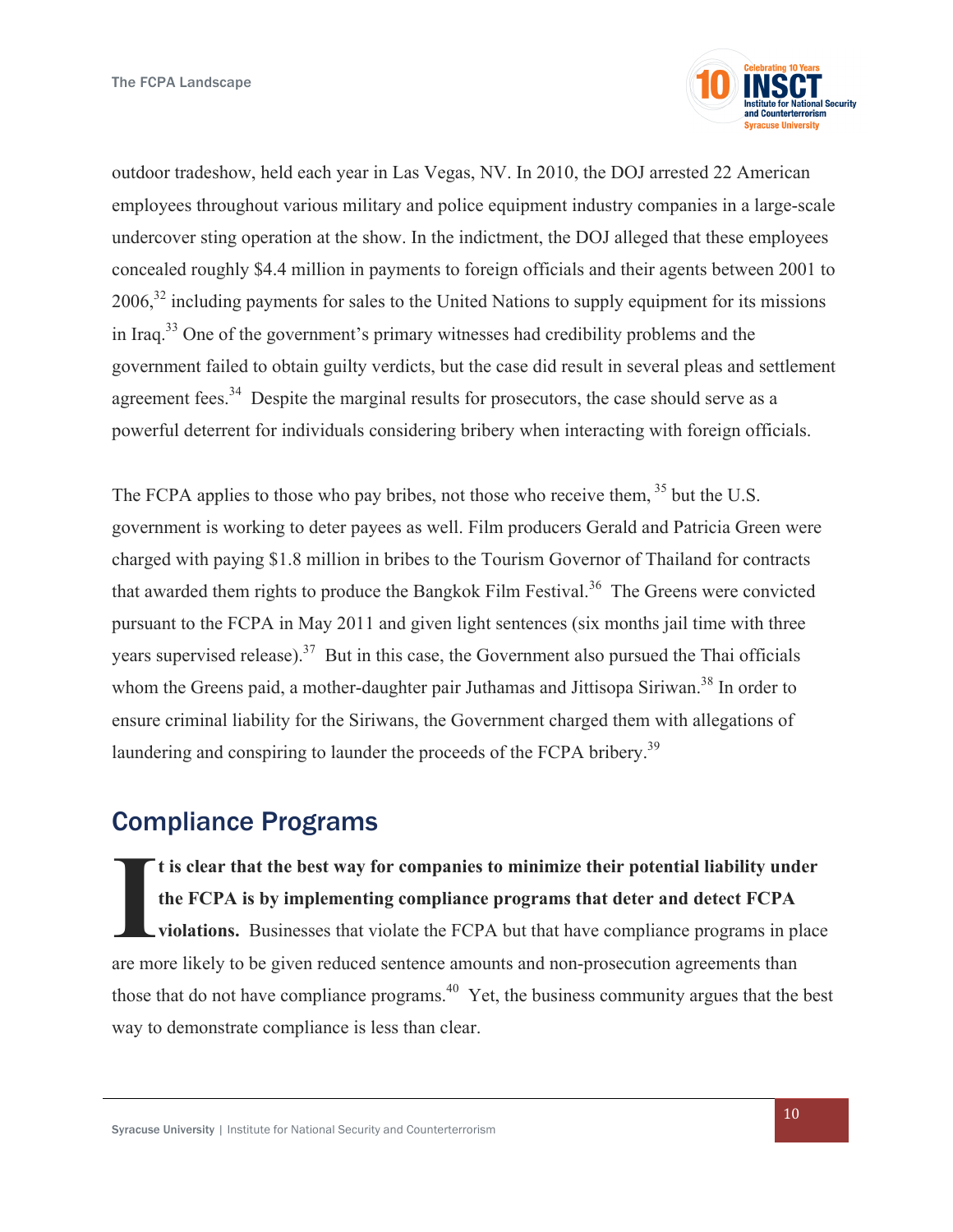

outdoor tradeshow, held each year in Las Vegas, NV. In 2010, the DOJ arrested 22 American employees throughout various military and police equipment industry companies in a large-scale undercover sting operation at the show. In the indictment, the DOJ alleged that these employees concealed roughly \$4.4 million in payments to foreign officials and their agents between 2001 to 2006,32 including payments for sales to the United Nations to supply equipment for its missions in Iraq.33 One of the government's primary witnesses had credibility problems and the government failed to obtain guilty verdicts, but the case did result in several pleas and settlement agreement fees.<sup>34</sup> Despite the marginal results for prosecutors, the case should serve as a powerful deterrent for individuals considering bribery when interacting with foreign officials.

The FCPA applies to those who pay bribes, not those who receive them, <sup>35</sup> but the U.S. government is working to deter payees as well. Film producers Gerald and Patricia Green were charged with paying \$1.8 million in bribes to the Tourism Governor of Thailand for contracts that awarded them rights to produce the Bangkok Film Festival.<sup>36</sup> The Greens were convicted pursuant to the FCPA in May 2011 and given light sentences (six months jail time with three years supervised release).<sup>37</sup> But in this case, the Government also pursued the Thai officials whom the Greens paid, a mother-daughter pair Juthamas and Jittisopa Siriwan.<sup>38</sup> In order to ensure criminal liability for the Siriwans, the Government charged them with allegations of laundering and conspiring to launder the proceeds of the FCPA bribery.<sup>39</sup>

### Compliance Programs

**t is clear that the best way for companies to minimize their potential liability under the FCPA is by implementing compliance programs that deter and detect FCPA violations.** Businesses that violate the FCPA but that have compliance programs in place are more likely to be given reduced sentence amounts and non-prosecution agreements than those that do not have compliance programs.<sup>40</sup> Yet, the business community argues that the best way to demonstrate compliance is less than clear. **I**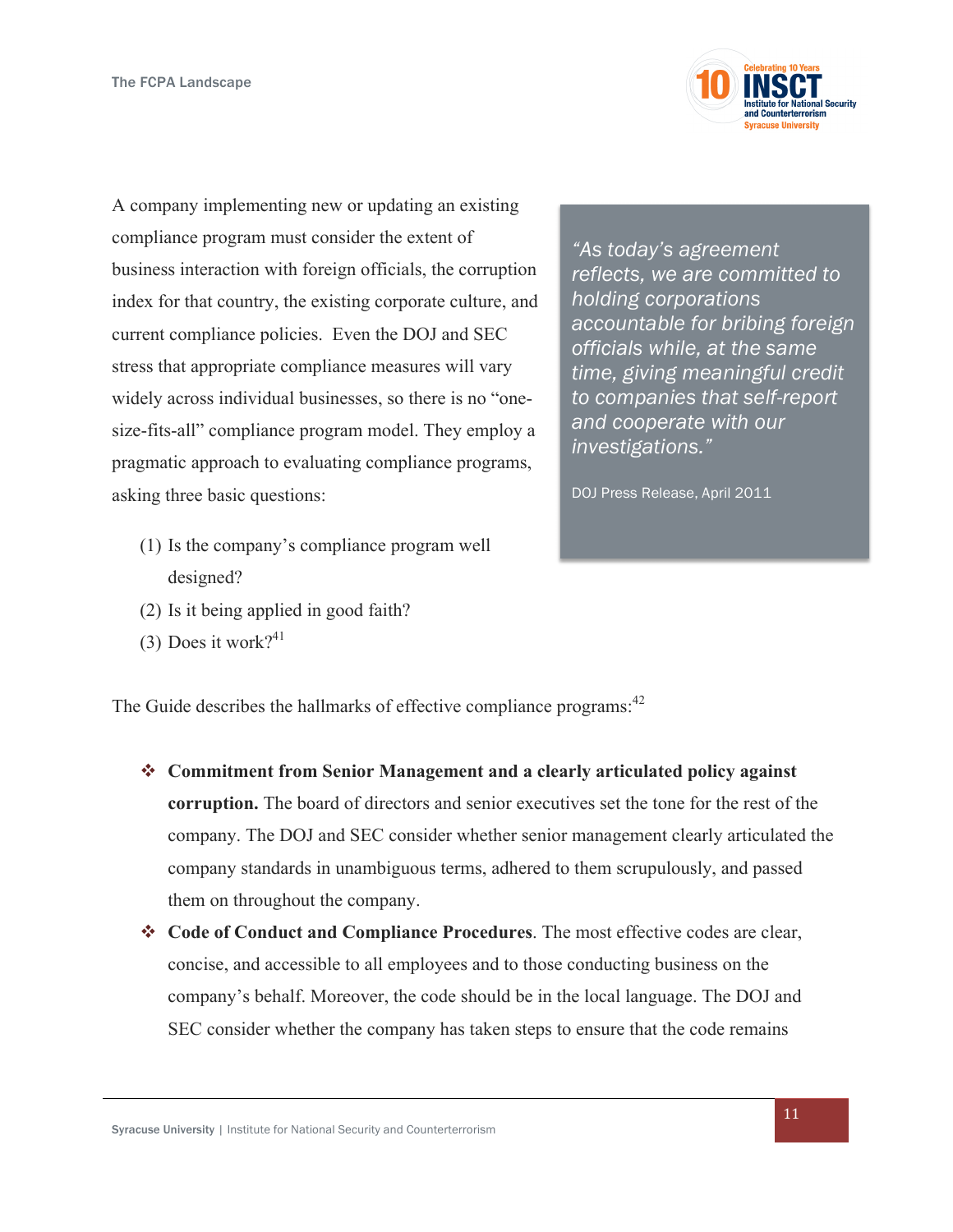

A company implementing new or updating an existing compliance program must consider the extent of business interaction with foreign officials, the corruption index for that country, the existing corporate culture, and current compliance policies. Even the DOJ and SEC stress that appropriate compliance measures will vary widely across individual businesses, so there is no "onesize-fits-all" compliance program model. They employ a pragmatic approach to evaluating compliance programs, asking three basic questions:

- (1) Is the company's compliance program well designed?
- (2) Is it being applied in good faith?
- (3) Does it work?<sup>41</sup>

*"As today's agreement reflects, we are committed to holding corporations accountable for bribing foreign officials while, at the same time, giving meaningful credit to companies that self-report and cooperate with our investigations."*

DOJ Press Release, April 2011

The Guide describes the hallmarks of effective compliance programs:<sup>42</sup>

- **❖** Commitment from Senior Management and a clearly articulated policy against **corruption.** The board of directors and senior executives set the tone for the rest of the company. The DOJ and SEC consider whether senior management clearly articulated the company standards in unambiguous terms, adhered to them scrupulously, and passed them on throughout the company.
- v **Code of Conduct and Compliance Procedures**. The most effective codes are clear, concise, and accessible to all employees and to those conducting business on the company's behalf. Moreover, the code should be in the local language. The DOJ and SEC consider whether the company has taken steps to ensure that the code remains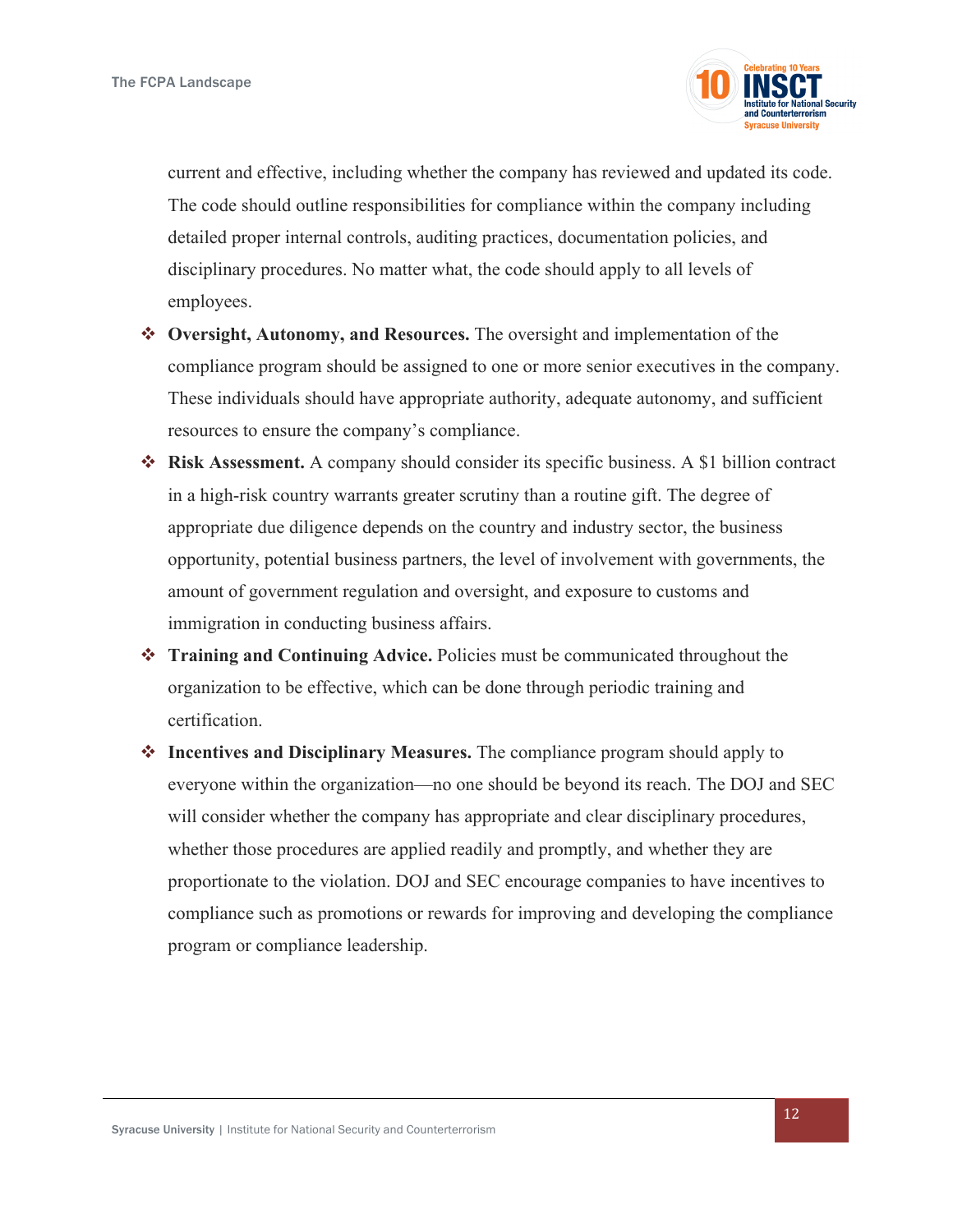

current and effective, including whether the company has reviewed and updated its code. The code should outline responsibilities for compliance within the company including detailed proper internal controls, auditing practices, documentation policies, and disciplinary procedures. No matter what, the code should apply to all levels of employees.

- v **Oversight, Autonomy, and Resources.** The oversight and implementation of the compliance program should be assigned to one or more senior executives in the company. These individuals should have appropriate authority, adequate autonomy, and sufficient resources to ensure the company's compliance.
- v **Risk Assessment.** A company should consider its specific business. A \$1 billion contract in a high-risk country warrants greater scrutiny than a routine gift. The degree of appropriate due diligence depends on the country and industry sector, the business opportunity, potential business partners, the level of involvement with governments, the amount of government regulation and oversight, and exposure to customs and immigration in conducting business affairs.
- v **Training and Continuing Advice.** Policies must be communicated throughout the organization to be effective, which can be done through periodic training and certification.
- v **Incentives and Disciplinary Measures.** The compliance program should apply to everyone within the organization—no one should be beyond its reach. The DOJ and SEC will consider whether the company has appropriate and clear disciplinary procedures, whether those procedures are applied readily and promptly, and whether they are proportionate to the violation. DOJ and SEC encourage companies to have incentives to compliance such as promotions or rewards for improving and developing the compliance program or compliance leadership.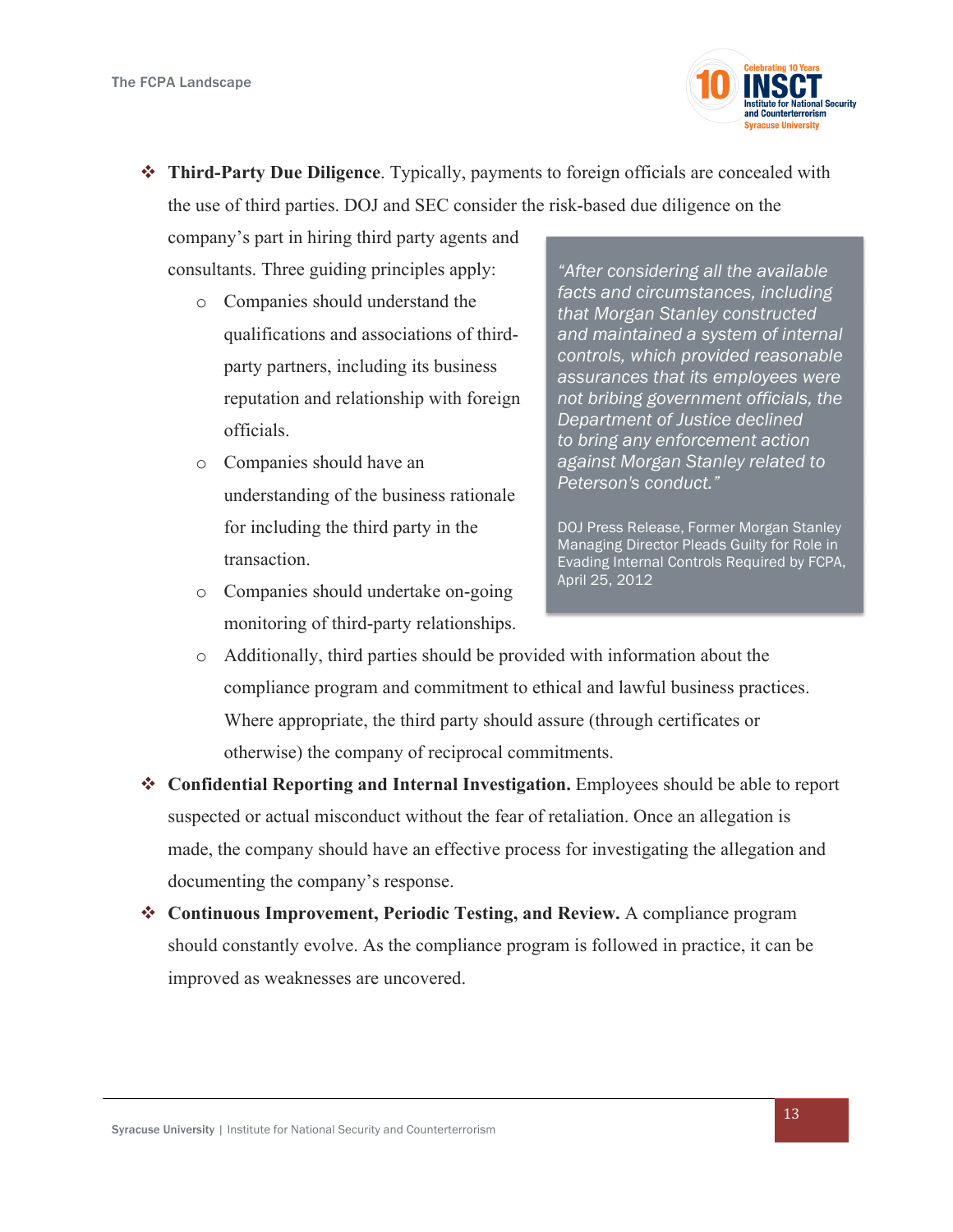

v **Third-Party Due Diligence**. Typically, payments to foreign officials are concealed with the use of third parties. DOJ and SEC consider the risk-based due diligence on the

company's part in hiring third party agents and consultants. Three guiding principles apply:

- o Companies should understand the qualifications and associations of thirdparty partners, including its business reputation and relationship with foreign officials.
- o Companies should have an understanding of the business rationale for including the third party in the transaction.
- o Companies should undertake on-going monitoring of third-party relationships.

*"After considering all the available facts and circumstances, including that Morgan Stanley constructed and maintained a system of internal controls, which provided reasonable assurances that its employees were not bribing government officials, the Department of Justice declined to bring any enforcement action against Morgan Stanley related to Peterson's conduct."* 

DOJ Press Release, Former Morgan Stanley Managing Director Pleads Guilty for Role in Evading Internal Controls Required by FCPA, April 25, 2012

- o Additionally, third parties should be provided with information about the compliance program and commitment to ethical and lawful business practices. Where appropriate, the third party should assure (through certificates or otherwise) the company of reciprocal commitments.
- v **Confidential Reporting and Internal Investigation.** Employees should be able to report suspected or actual misconduct without the fear of retaliation. Once an allegation is made, the company should have an effective process for investigating the allegation and documenting the company's response.
- v **Continuous Improvement, Periodic Testing, and Review.** A compliance program should constantly evolve. As the compliance program is followed in practice, it can be improved as weaknesses are uncovered.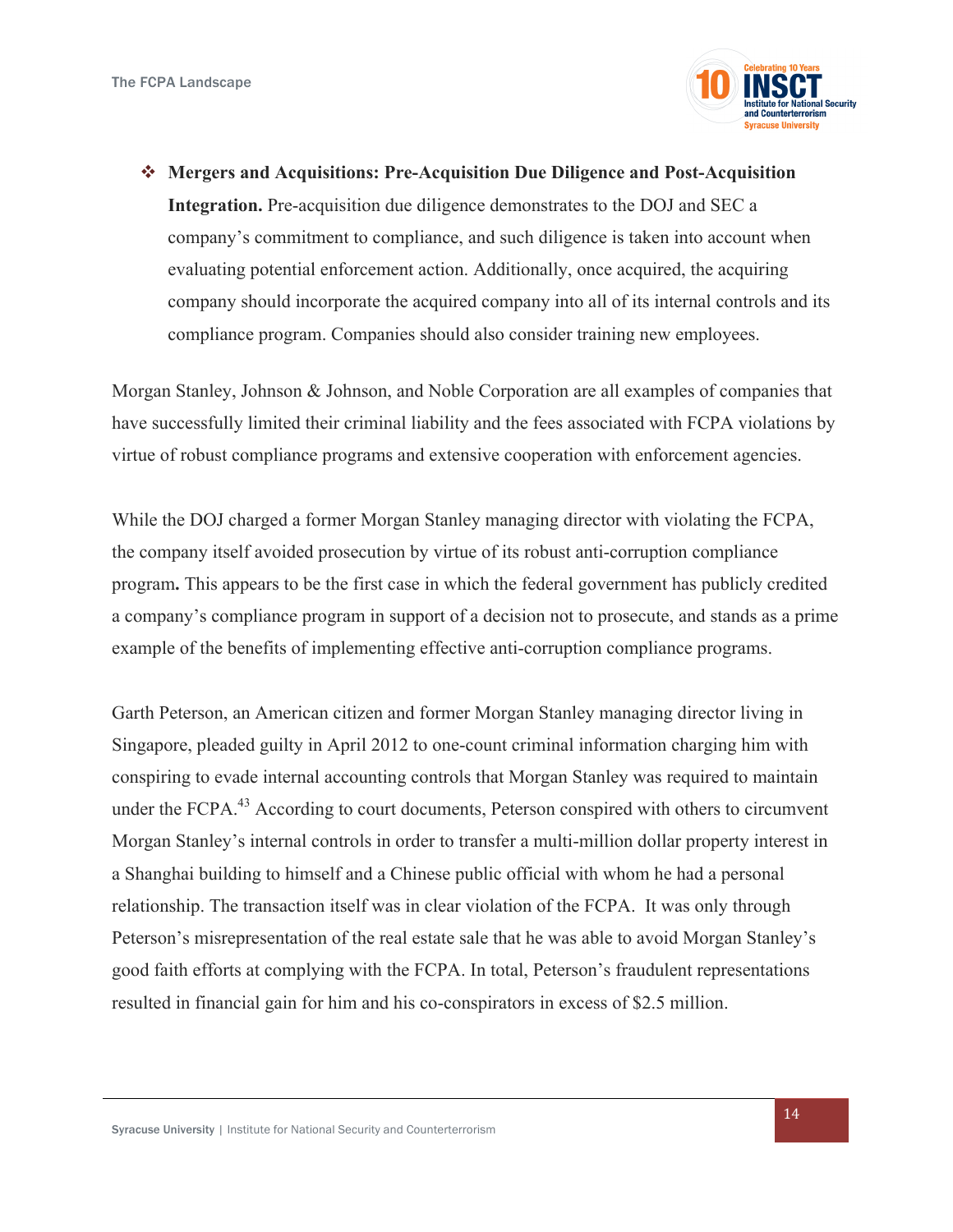

v **Mergers and Acquisitions: Pre-Acquisition Due Diligence and Post-Acquisition Integration.** Pre-acquisition due diligence demonstrates to the DOJ and SEC a company's commitment to compliance, and such diligence is taken into account when evaluating potential enforcement action. Additionally, once acquired, the acquiring company should incorporate the acquired company into all of its internal controls and its compliance program. Companies should also consider training new employees.

Morgan Stanley, Johnson & Johnson, and Noble Corporation are all examples of companies that have successfully limited their criminal liability and the fees associated with FCPA violations by virtue of robust compliance programs and extensive cooperation with enforcement agencies.

While the DOJ charged a former Morgan Stanley managing director with violating the FCPA, the company itself avoided prosecution by virtue of its robust anti-corruption compliance program**.** This appears to be the first case in which the federal government has publicly credited a company's compliance program in support of a decision not to prosecute, and stands as a prime example of the benefits of implementing effective anti-corruption compliance programs.

Garth Peterson, an American citizen and former Morgan Stanley managing director living in Singapore, pleaded guilty in April 2012 to one-count criminal information charging him with conspiring to evade internal accounting controls that Morgan Stanley was required to maintain under the FCPA.<sup>43</sup> According to court documents, Peterson conspired with others to circumvent Morgan Stanley's internal controls in order to transfer a multi-million dollar property interest in a Shanghai building to himself and a Chinese public official with whom he had a personal relationship. The transaction itself was in clear violation of the FCPA. It was only through Peterson's misrepresentation of the real estate sale that he was able to avoid Morgan Stanley's good faith efforts at complying with the FCPA. In total, Peterson's fraudulent representations resulted in financial gain for him and his co-conspirators in excess of \$2.5 million.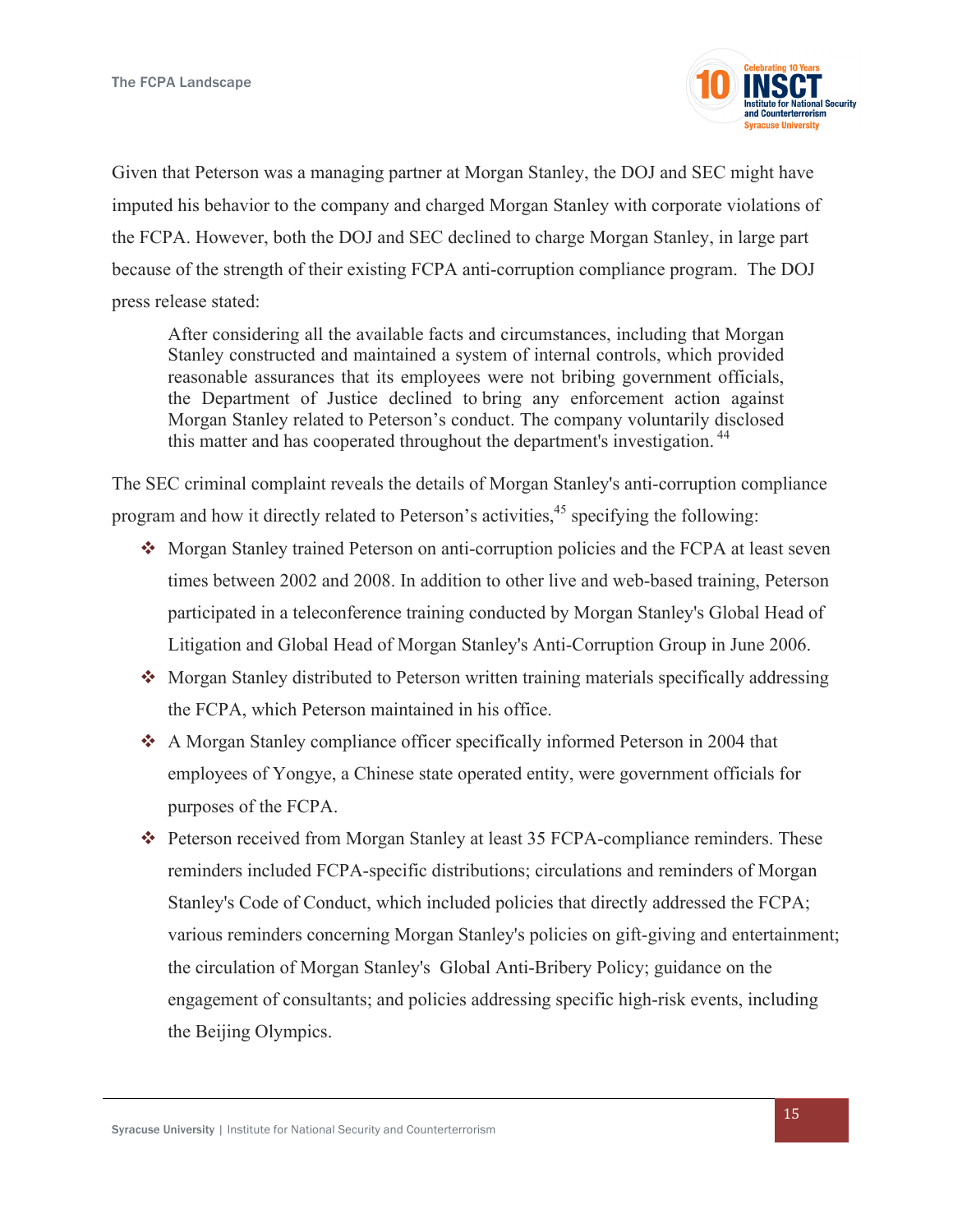

Given that Peterson was a managing partner at Morgan Stanley, the DOJ and SEC might have imputed his behavior to the company and charged Morgan Stanley with corporate violations of the FCPA. However, both the DOJ and SEC declined to charge Morgan Stanley, in large part because of the strength of their existing FCPA anti-corruption compliance program. The DOJ press release stated:

After considering all the available facts and circumstances, including that Morgan Stanley constructed and maintained a system of internal controls, which provided reasonable assurances that its employees were not bribing government officials, the Department of Justice declined to bring any enforcement action against Morgan Stanley related to Peterson's conduct. The company voluntarily disclosed this matter and has cooperated throughout the department's investigation.<sup>44</sup>

The SEC criminal complaint reveals the details of Morgan Stanley's anti-corruption compliance program and how it directly related to Peterson's activities,<sup>45</sup> specifying the following:

- Morgan Stanley trained Peterson on anti-corruption policies and the FCPA at least seven times between 2002 and 2008. In addition to other live and web-based training, Peterson participated in a teleconference training conducted by Morgan Stanley's Global Head of Litigation and Global Head of Morgan Stanley's Anti-Corruption Group in June 2006.
- Morgan Stanley distributed to Peterson written training materials specifically addressing the FCPA, which Peterson maintained in his office.
- $\div$  A Morgan Stanley compliance officer specifically informed Peterson in 2004 that employees of Yongye, a Chinese state operated entity, were government officials for purposes of the FCPA.
- \* Peterson received from Morgan Stanley at least 35 FCPA-compliance reminders. These reminders included FCPA-specific distributions; circulations and reminders of Morgan Stanley's Code of Conduct, which included policies that directly addressed the FCPA; various reminders concerning Morgan Stanley's policies on gift-giving and entertainment; the circulation of Morgan Stanley's Global Anti-Bribery Policy; guidance on the engagement of consultants; and policies addressing specific high-risk events, including the Beijing Olympics.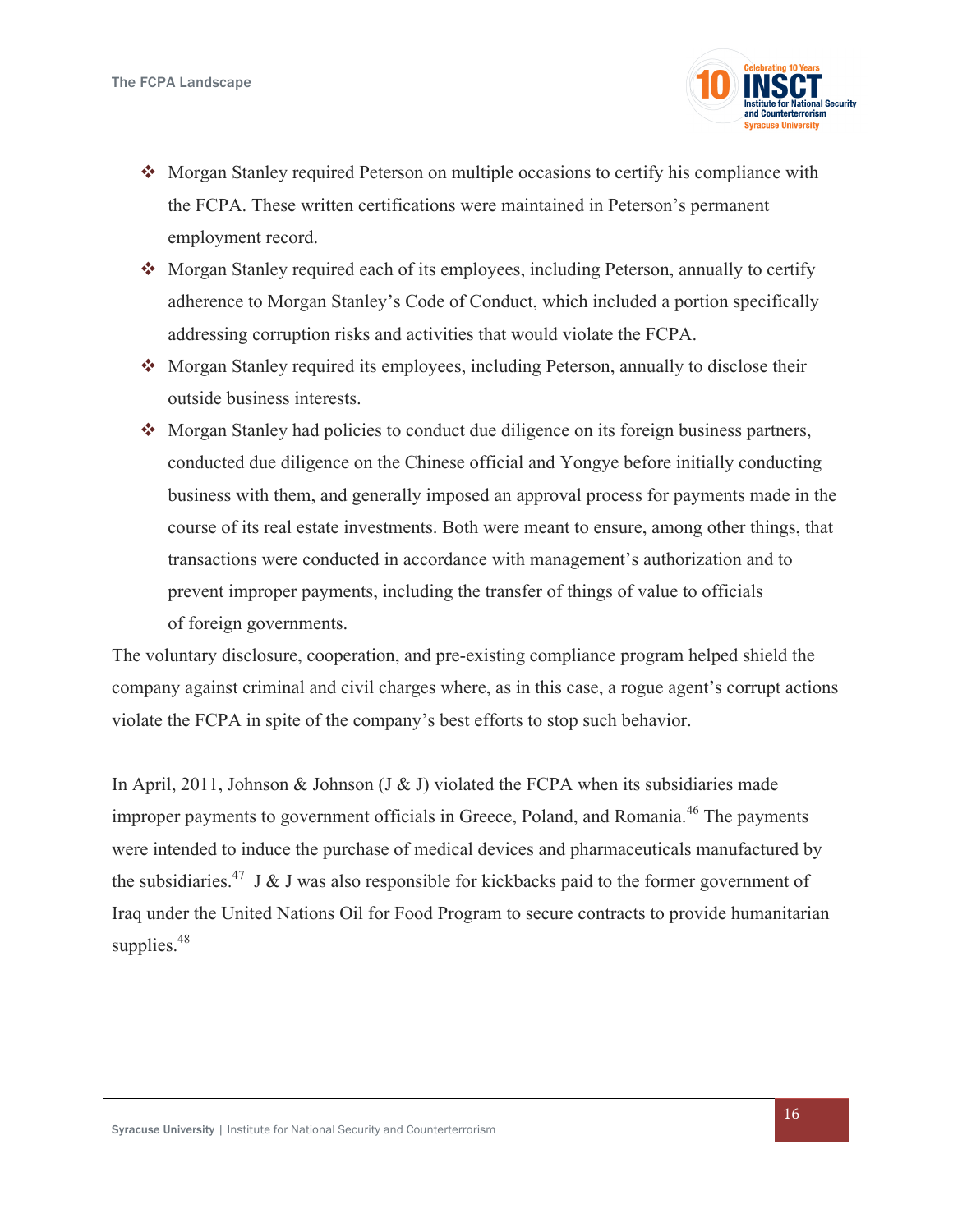

- $\triangleleft$  Morgan Stanley required Peterson on multiple occasions to certify his compliance with the FCPA. These written certifications were maintained in Peterson's permanent employment record.
- \* Morgan Stanley required each of its employees, including Peterson, annually to certify adherence to Morgan Stanley's Code of Conduct, which included a portion specifically addressing corruption risks and activities that would violate the FCPA.
- Morgan Stanley required its employees, including Peterson, annually to disclose their outside business interests.
- $\triangleleft$  Morgan Stanley had policies to conduct due diligence on its foreign business partners, conducted due diligence on the Chinese official and Yongye before initially conducting business with them, and generally imposed an approval process for payments made in the course of its real estate investments. Both were meant to ensure, among other things, that transactions were conducted in accordance with management's authorization and to prevent improper payments, including the transfer of things of value to officials of foreign governments.

The voluntary disclosure, cooperation, and pre-existing compliance program helped shield the company against criminal and civil charges where, as in this case, a rogue agent's corrupt actions violate the FCPA in spite of the company's best efforts to stop such behavior.

In April, 2011, Johnson & Johnson (J & J) violated the FCPA when its subsidiaries made improper payments to government officials in Greece, Poland, and Romania.<sup>46</sup> The payments were intended to induce the purchase of medical devices and pharmaceuticals manufactured by the subsidiaries.<sup>47</sup> J & J was also responsible for kickbacks paid to the former government of Iraq under the United Nations Oil for Food Program to secure contracts to provide humanitarian supplies.<sup>48</sup>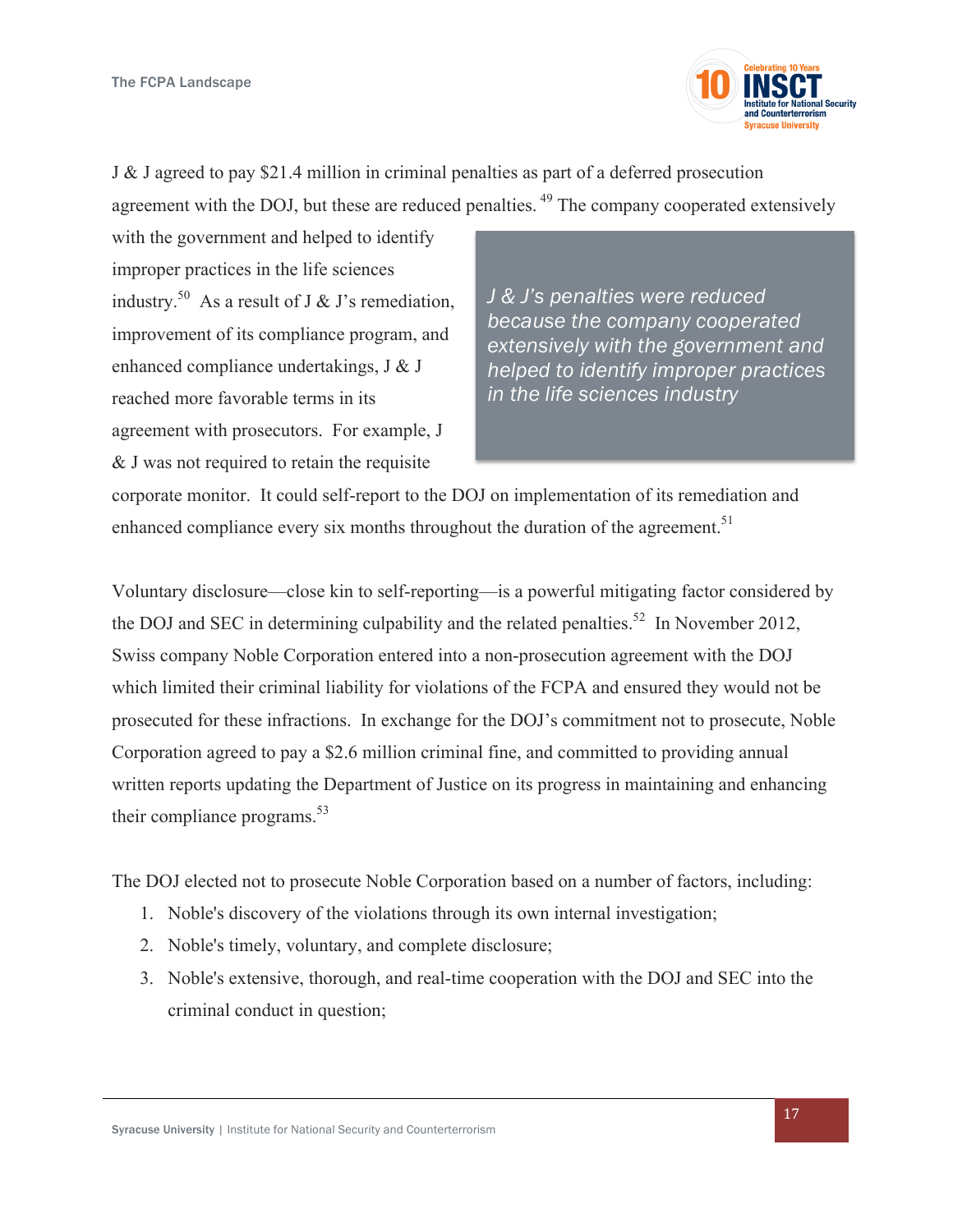

J & J agreed to pay \$21.4 million in criminal penalties as part of a deferred prosecution agreement with the DOJ, but these are reduced penalties.<sup>49</sup> The company cooperated extensively

with the government and helped to identify improper practices in the life sciences industry.<sup>50</sup> As a result of J & J's remediation, improvement of its compliance program, and enhanced compliance undertakings, J & J reached more favorable terms in its agreement with prosecutors. For example, J & J was not required to retain the requisite

*J & J's penalties were reduced because the company cooperated extensively with the government and helped to identify improper practices in the life sciences industry*

corporate monitor. It could self-report to the DOJ on implementation of its remediation and enhanced compliance every six months throughout the duration of the agreement.<sup>51</sup>

Voluntary disclosure—close kin to self-reporting—is a powerful mitigating factor considered by the DOJ and SEC in determining culpability and the related penalties.<sup>52</sup> In November 2012. Swiss company Noble Corporation entered into a non-prosecution agreement with the DOJ which limited their criminal liability for violations of the FCPA and ensured they would not be prosecuted for these infractions. In exchange for the DOJ's commitment not to prosecute, Noble Corporation agreed to pay a \$2.6 million criminal fine, and committed to providing annual written reports updating the Department of Justice on its progress in maintaining and enhancing their compliance programs. $53$ 

The DOJ elected not to prosecute Noble Corporation based on a number of factors, including:

- 1. Noble's discovery of the violations through its own internal investigation;
- 2. Noble's timely, voluntary, and complete disclosure;
- 3. Noble's extensive, thorough, and real-time cooperation with the DOJ and SEC into the criminal conduct in question;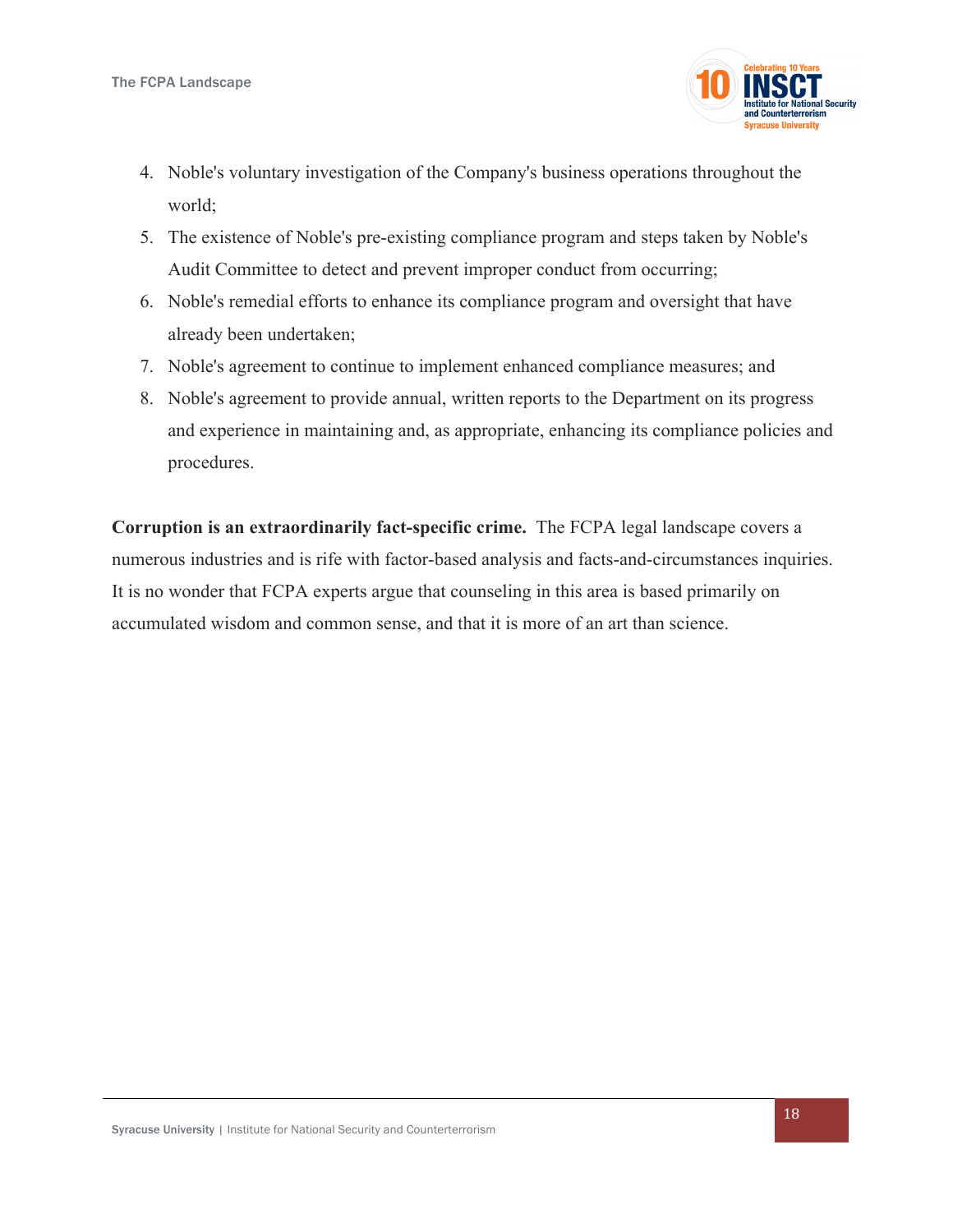

- 4. Noble's voluntary investigation of the Company's business operations throughout the world;
- 5. The existence of Noble's pre-existing compliance program and steps taken by Noble's Audit Committee to detect and prevent improper conduct from occurring;
- 6. Noble's remedial efforts to enhance its compliance program and oversight that have already been undertaken;
- 7. Noble's agreement to continue to implement enhanced compliance measures; and
- 8. Noble's agreement to provide annual, written reports to the Department on its progress and experience in maintaining and, as appropriate, enhancing its compliance policies and procedures.

**Corruption is an extraordinarily fact-specific crime.** The FCPA legal landscape covers a numerous industries and is rife with factor-based analysis and facts-and-circumstances inquiries. It is no wonder that FCPA experts argue that counseling in this area is based primarily on accumulated wisdom and common sense, and that it is more of an art than science.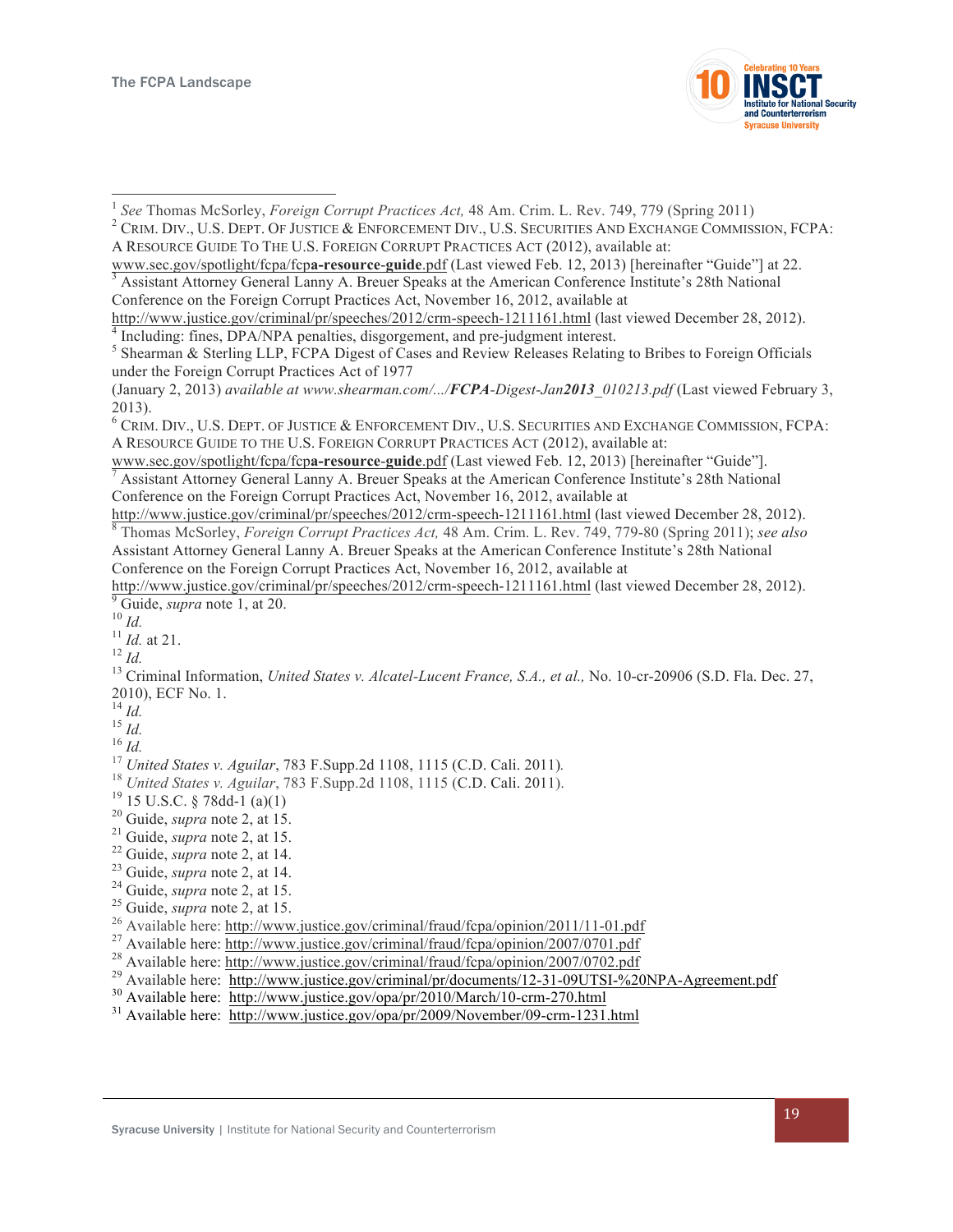

- 
- 

- 
- 

- 
- 
- 
- 
- 
- 
- 
- 

- 
- 

<sup>&</sup>lt;sup>1</sup> See Thomas McSorley, *Foreign Corrupt Practices Act*, 48 Am. Crim. L. Rev. 749, 779 (Spring 2011) <sup>2</sup> CRIM. DIV., U.S. DEPT. OF JUSTICE & ENFORCEMENT DIV., U.S. SECURITIES AND EXCHANGE COMMISSION, FCPA: A RESOURCE GUIDE TO THE U.S. FOREIGN CORRUPT PRACTICES ACT (2012), available at:

www.sec.gov/spotlight/fcpa/fcpa-resource-guide.pdf (Last viewed Feb. 12, 2013) [hereinafter "Guide"] at 22.<br><sup>3</sup> Assistant Attorney General Lanny A. Breuer Speaks at the American Conference Institute's 28th National Conference on the Foreign Corrupt Practices Act, November 16, 2012, available at

http://www.justice.gov/criminal/pr/speeches/2012/crm-speech-1211161.html (last viewed December 28, 2012).<br><sup>4</sup> Including: fines, DPA/NPA penalties, disgorgement, and pre-judgment interest.<br><sup>5</sup> Shearman & Sterling LLP, FCPA

under the Foreign Corrupt Practices Act of 1977

<sup>(</sup>January 2, 2013) *available at www.shearman.com/.../FCPA-Digest-Jan2013\_010213.pdf* (Last viewed February 3, 2013).

<sup>6</sup> CRIM. DIV., U.S. DEPT. OF JUSTICE & ENFORCEMENT DIV., U.S. SECURITIES AND EXCHANGE COMMISSION, FCPA: A RESOURCE GUIDE TO THE U.S. FOREIGN CORRUPT PRACTICES ACT (2012), available at:

www.sec.gov/spotlight/fcpa/fcp**a-resource**-**guide**.pdf (Last viewed Feb. 12, 2013) [hereinafter "Guide"]. <sup>7</sup> Assistant Attorney General Lanny A. Breuer Speaks at the American Conference Institute's 28th National Conference on the Foreign Corrupt Practices Act, November 16, 2012, available at http://www.justice.gov/criminal/pr/speeches/2012/crm-speech-1211161.html (last viewed December 28, 2012).

<sup>&</sup>lt;sup>8</sup> Thomas McSorley, *Foreign Corrupt Practices Act*, 48 Am. Crim. L. Rev. 749, 779-80 (Spring 2011); see also Assistant Attorney General Lanny A. Breuer Speaks at the American Conference Institute's 28th National

Conference on the Foreign Corrupt Practices Act, November 16, 2012, available at http://www.justice.gov/criminal/pr/speeches/2012/crm-speech-1211161.html (last viewed December 28, 2012). <sup>9</sup> Guide, *supra* note 1, at 20.<br><sup>10</sup> *Id.*<br><sup>11</sup> *Id.* at 21.<br><sup>12</sup> *Id.*<br><sup>13</sup> Criminal Information, *United States v. Alcatel-Lucent France, S.A., et al., No. 10-cr-20906 (S.D. Fla. Dec. 27,* 

<sup>2010),</sup> ECF No. 1.<br> $^{14}$  *Id.* 

<sup>&</sup>lt;sup>14</sup> *Id.*<br>
<sup>15</sup> *Id.*<br>
<sup>15</sup> *Id.*<br>
<sup>16</sup> *Id.*<br>
<sup>17</sup> United States v. Aguilar, 783 F.Supp.2d 1108, 1115 (C.D. Cali. 2011).<br>
<sup>19</sup> 50 *U.S.C.* § 78de-1 (a)(1)<br>
<sup>29</sup> Guide, *supra* note 2, at 15.<br>
<sup>22</sup> Guide, *supra* note 2,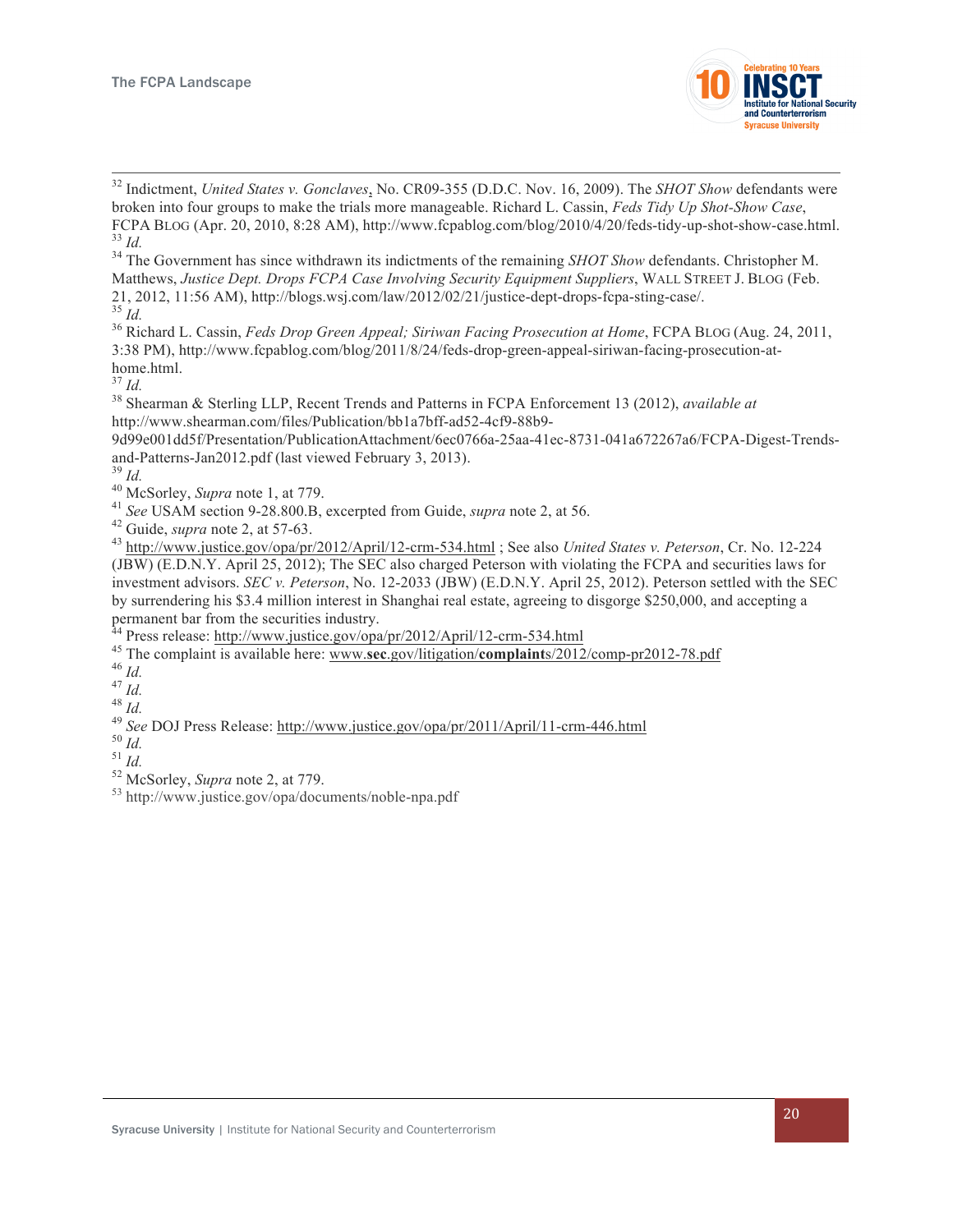

 <sup>32</sup> Indictment, *United States v. Gonclaves*, No. CR09-355 (D.D.C. Nov. 16, 2009). The *SHOT Show* defendants were broken into four groups to make the trials more manageable. Richard L. Cassin, *Feds Tidy Up Shot-Show Case*,  $^{33}$  *Id.*<br><sup>34</sup> The Government has since withdrawn its indictments of the remaining *SHOT Show* defendants. Christopher M.

Matthews, *Justice Dept. Drops FCPA Case Involving Security Equipment Suppliers*, WALL STREET J. BLOG (Feb. 21, 2012, 11:56 AM), http://blogs.wsj.com/law/2012/02/21/justice-dept-drops-fcpa-sting-case/. <sup>35</sup> *Id.* <sup>36</sup> Richard L. Cassin, *Feds Drop Green Appeal; Siriwan Facing Prosecution at Home*, FCPA BLOG (Aug. 24, 2011,

3:38 PM), http://www.fcpablog.com/blog/2011/8/24/feds-drop-green-appeal-siriwan-facing-prosecution-athome.html.<br> $37$  *Id.* 

<sup>38</sup> Shearman & Sterling LLP, Recent Trends and Patterns in FCPA Enforcement 13 (2012), *available at* http://www.shearman.com/files/Publication/bb1a7bff-ad52-4cf9-88b9-

9d99e001dd5f/Presentation/PublicationAttachment/6ec0766a-25aa-41ec-8731-041a672267a6/FCPA-Digest-Trendsand-Patterns-Jan2012.pdf (last viewed February 3, 2013).<br>
<sup>39</sup> *Id.*<br>
<sup>40</sup> McSorley, *Supra* note 1, at 779.<br>
<sup>41</sup> *See* USAM section 9-28.800.B, excerpted from Guide, *supra* note 2, at 56.<br>
<sup>42</sup> Guide, *supra* note 2, a

(JBW) (E.D.N.Y. April 25, 2012); The SEC also charged Peterson with violating the FCPA and securities laws for investment advisors. *SEC v. Peterson*, No. 12-2033 (JBW) (E.D.N.Y. April 25, 2012). Peterson settled with the SEC by surrendering his \$3.4 million interest in Shanghai real estate, agreeing to disgorge \$250,000, and accepting a permanent bar from the securities industry.<br><sup>44</sup> Press release: http://www.justice.gov/opa/pr/2012/April/12-crm-534.html

<sup>45</sup> The complaint is available here: www.sec.gov/litigation/complaints/2012/comp-pr2012-78.pdf<br><sup>46</sup> Id.<br><sup>47</sup> Id.<br><sup>48</sup> Id.<br><sup>49</sup> See DOJ Press Release: http://www.justice.gov/opa/pr/2011/April/11-crm-446.html<br><sup>50</sup> Id.<br><sup>51</sup>